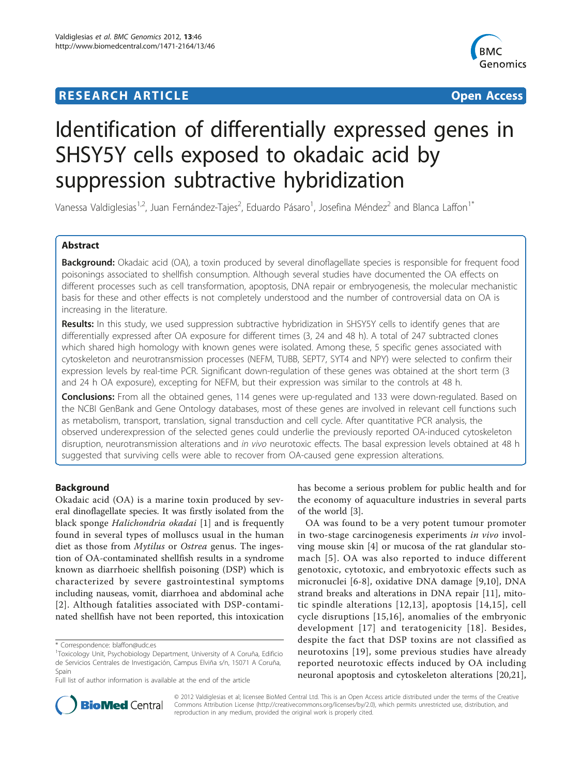## **RESEARCH ARTICLE Example 2018 CONSUMING ACCESS**



# Identification of differentially expressed genes in SHSY5Y cells exposed to okadaic acid by suppression subtractive hybridization

Vanessa Valdiglesias<sup>1,2</sup>, Juan Fernández-Tajes<sup>2</sup>, Eduardo Pásaro<sup>1</sup>, Josefina Méndez<sup>2</sup> and Blanca Laffon<sup>1\*</sup>

## Abstract

Background: Okadaic acid (OA), a toxin produced by several dinoflagellate species is responsible for frequent food poisonings associated to shellfish consumption. Although several studies have documented the OA effects on different processes such as cell transformation, apoptosis, DNA repair or embryogenesis, the molecular mechanistic basis for these and other effects is not completely understood and the number of controversial data on OA is increasing in the literature.

Results: In this study, we used suppression subtractive hybridization in SHSY5Y cells to identify genes that are differentially expressed after OA exposure for different times (3, 24 and 48 h). A total of 247 subtracted clones which shared high homology with known genes were isolated. Among these, 5 specific genes associated with cytoskeleton and neurotransmission processes (NEFM, TUBB, SEPT7, SYT4 and NPY) were selected to confirm their expression levels by real-time PCR. Significant down-regulation of these genes was obtained at the short term (3 and 24 h OA exposure), excepting for NEFM, but their expression was similar to the controls at 48 h.

**Conclusions:** From all the obtained genes, 114 genes were up-regulated and 133 were down-regulated. Based on the NCBI GenBank and Gene Ontology databases, most of these genes are involved in relevant cell functions such as metabolism, transport, translation, signal transduction and cell cycle. After quantitative PCR analysis, the observed underexpression of the selected genes could underlie the previously reported OA-induced cytoskeleton disruption, neurotransmission alterations and in vivo neurotoxic effects. The basal expression levels obtained at 48 h suggested that surviving cells were able to recover from OA-caused gene expression alterations.

## Background

Okadaic acid (OA) is a marine toxin produced by several dinoflagellate species. It was firstly isolated from the black sponge *Halichondria okadai* [[1\]](#page-11-0) and is frequently found in several types of molluscs usual in the human diet as those from Mytilus or Ostrea genus. The ingestion of OA-contaminated shellfish results in a syndrome known as diarrhoeic shellfish poisoning (DSP) which is characterized by severe gastrointestinal symptoms including nauseas, vomit, diarrhoea and abdominal ache [[2](#page-11-0)]. Although fatalities associated with DSP-contaminated shellfish have not been reported, this intoxication

has become a serious problem for public health and for the economy of aquaculture industries in several parts of the world [[3\]](#page-11-0).

OA was found to be a very potent tumour promoter in two-stage carcinogenesis experiments in vivo involving mouse skin [\[4](#page-11-0)] or mucosa of the rat glandular stomach [[5](#page-11-0)]. OA was also reported to induce different genotoxic, cytotoxic, and embryotoxic effects such as micronuclei [[6-8](#page-11-0)], oxidative DNA damage [\[9](#page-11-0),[10\]](#page-11-0), DNA strand breaks and alterations in DNA repair [[11\]](#page-11-0), mitotic spindle alterations [[12](#page-11-0),[13](#page-11-0)], apoptosis [\[14,15](#page-11-0)], cell cycle disruptions [[15](#page-11-0),[16](#page-11-0)], anomalies of the embryonic development [[17](#page-11-0)] and teratogenicity [\[18](#page-11-0)]. Besides, despite the fact that DSP toxins are not classified as neurotoxins [[19](#page-11-0)], some previous studies have already reported neurotoxic effects induced by OA including neuronal apoptosis and cytoskeleton alterations [\[20,21](#page-11-0)],



© 2012 Valdiglesias et al; licensee BioMed Central Ltd. This is an Open Access article distributed under the terms of the Creative Commons Attribution License [\(http://creativecommons.org/licenses/by/2.0](http://creativecommons.org/licenses/by/2.0)), which permits unrestricted use, distribution, and reproduction in any medium, provided the original work is properly cited.

<sup>\*</sup> Correspondence: [blaffon@udc.es](mailto:blaffon@udc.es)

<sup>1</sup> Toxicology Unit, Psychobiology Department, University of A Coruña, Edificio de Servicios Centrales de Investigación, Campus Elviña s/n, 15071 A Coruña, Spain

Full list of author information is available at the end of the article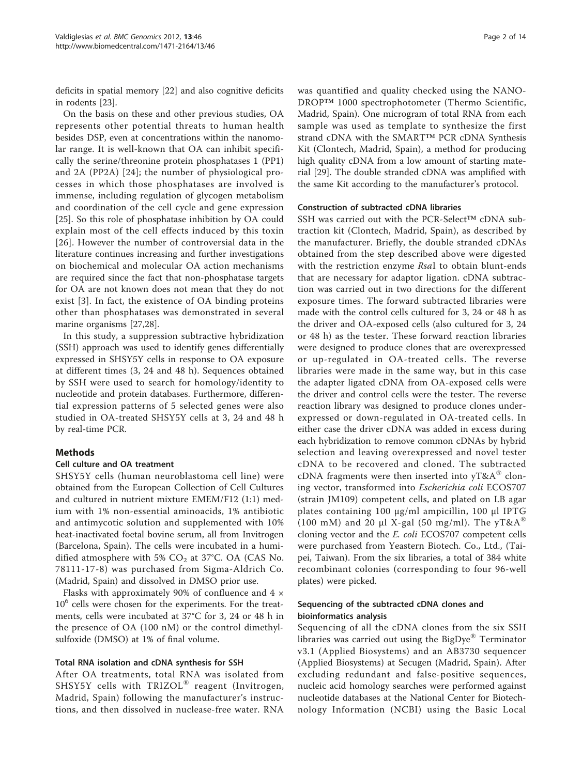deficits in spatial memory [[22\]](#page-11-0) and also cognitive deficits in rodents [[23\]](#page-11-0).

On the basis on these and other previous studies, OA represents other potential threats to human health besides DSP, even at concentrations within the nanomolar range. It is well-known that OA can inhibit specifically the serine/threonine protein phosphatases 1 (PP1) and 2A (PP2A) [[24\]](#page-11-0); the number of physiological processes in which those phosphatases are involved is immense, including regulation of glycogen metabolism and coordination of the cell cycle and gene expression [[25\]](#page-11-0). So this role of phosphatase inhibition by OA could explain most of the cell effects induced by this toxin [[26](#page-12-0)]. However the number of controversial data in the literature continues increasing and further investigations on biochemical and molecular OA action mechanisms are required since the fact that non-phosphatase targets for OA are not known does not mean that they do not exist [[3](#page-11-0)]. In fact, the existence of OA binding proteins other than phosphatases was demonstrated in several marine organisms [\[27,28\]](#page-12-0).

In this study, a suppression subtractive hybridization (SSH) approach was used to identify genes differentially expressed in SHSY5Y cells in response to OA exposure at different times (3, 24 and 48 h). Sequences obtained by SSH were used to search for homology/identity to nucleotide and protein databases. Furthermore, differential expression patterns of 5 selected genes were also studied in OA-treated SHSY5Y cells at 3, 24 and 48 h by real-time PCR.

## Methods

#### Cell culture and OA treatment

SHSY5Y cells (human neuroblastoma cell line) were obtained from the European Collection of Cell Cultures and cultured in nutrient mixture EMEM/F12 (1:1) medium with 1% non-essential aminoacids, 1% antibiotic and antimycotic solution and supplemented with 10% heat-inactivated foetal bovine serum, all from Invitrogen (Barcelona, Spain). The cells were incubated in a humidified atmosphere with 5%  $CO<sub>2</sub>$  at 37°C. OA (CAS No. 78111-17-8) was purchased from Sigma-Aldrich Co. (Madrid, Spain) and dissolved in DMSO prior use.

Flasks with approximately 90% of confluence and  $4 \times$  $10<sup>6</sup>$  cells were chosen for the experiments. For the treatments, cells were incubated at 37°C for 3, 24 or 48 h in the presence of OA (100 nM) or the control dimethylsulfoxide (DMSO) at 1% of final volume.

## Total RNA isolation and cDNA synthesis for SSH

After OA treatments, total RNA was isolated from SHSY5Y cells with TRIZOL® reagent (Invitrogen, Madrid, Spain) following the manufacturer's instructions, and then dissolved in nuclease-free water. RNA

was quantified and quality checked using the NANO-DROP™ 1000 spectrophotometer (Thermo Scientific, Madrid, Spain). One microgram of total RNA from each sample was used as template to synthesize the first strand cDNA with the SMART™ PCR cDNA Synthesis Kit (Clontech, Madrid, Spain), a method for producing high quality cDNA from a low amount of starting material [\[29](#page-12-0)]. The double stranded cDNA was amplified with the same Kit according to the manufacturer's protocol.

#### Construction of subtracted cDNA libraries

SSH was carried out with the PCR-Select™ cDNA subtraction kit (Clontech, Madrid, Spain), as described by the manufacturer. Briefly, the double stranded cDNAs obtained from the step described above were digested with the restriction enzyme RsaI to obtain blunt-ends that are necessary for adaptor ligation. cDNA subtraction was carried out in two directions for the different exposure times. The forward subtracted libraries were made with the control cells cultured for 3, 24 or 48 h as the driver and OA-exposed cells (also cultured for 3, 24 or 48 h) as the tester. These forward reaction libraries were designed to produce clones that are overexpressed or up-regulated in OA-treated cells. The reverse libraries were made in the same way, but in this case the adapter ligated cDNA from OA-exposed cells were the driver and control cells were the tester. The reverse reaction library was designed to produce clones underexpressed or down-regulated in OA-treated cells. In either case the driver cDNA was added in excess during each hybridization to remove common cDNAs by hybrid selection and leaving overexpressed and novel tester cDNA to be recovered and cloned. The subtracted cDNA fragments were then inserted into  $yT\&A^{\omega}$  cloning vector, transformed into Escherichia coli ECOS707 (strain JM109) competent cells, and plated on LB agar plates containing 100 μg/ml ampicillin, 100 μl IPTG (100 mM) and 20 µl X-gal (50 mg/ml). The yT&A<sup>®</sup> cloning vector and the E. coli ECOS707 competent cells were purchased from Yeastern Biotech. Co., Ltd., (Taipei, Taiwan). From the six libraries, a total of 384 white recombinant colonies (corresponding to four 96-well plates) were picked.

## Sequencing of the subtracted cDNA clones and bioinformatics analysis

Sequencing of all the cDNA clones from the six SSH libraries was carried out using the BigDye® Terminator v3.1 (Applied Biosystems) and an AB3730 sequencer (Applied Biosystems) at Secugen (Madrid, Spain). After excluding redundant and false-positive sequences, nucleic acid homology searches were performed against nucleotide databases at the National Center for Biotechnology Information (NCBI) using the Basic Local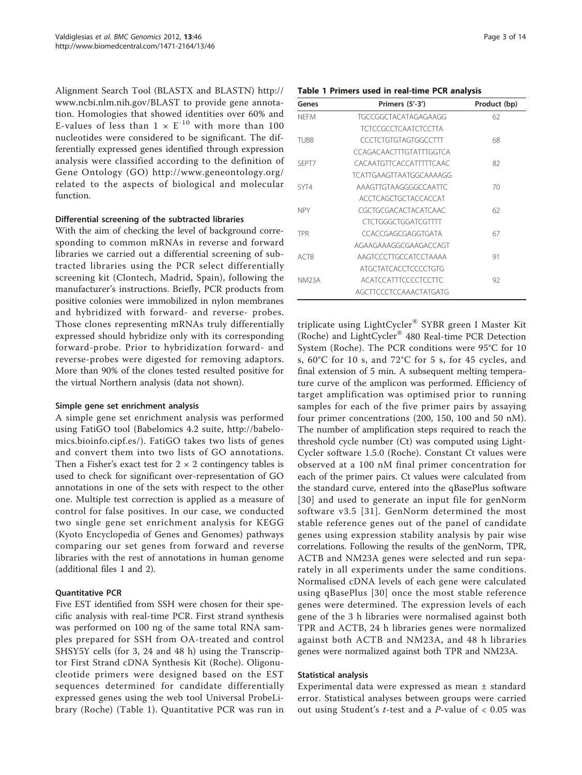Alignment Search Tool (BLASTX and BLASTN) [http://](http://www.ncbi.nlm.nih.gov/BLAST) [www.ncbi.nlm.nih.gov/BLAST](http://www.ncbi.nlm.nih.gov/BLAST) to provide gene annotation. Homologies that showed identities over 60% and E-values of less than  $1 \times E^{-10}$  with more than 100 nucleotides were considered to be significant. The differentially expressed genes identified through expression analysis were classified according to the definition of Gene Ontology (GO)<http://www.geneontology.org/> related to the aspects of biological and molecular function.

#### Differential screening of the subtracted libraries

With the aim of checking the level of background corresponding to common mRNAs in reverse and forward libraries we carried out a differential screening of subtracted libraries using the PCR select differentially screening kit (Clontech, Madrid, Spain), following the manufacturer's instructions. Briefly, PCR products from positive colonies were immobilized in nylon membranes and hybridized with forward- and reverse- probes. Those clones representing mRNAs truly differentially expressed should hybridize only with its corresponding forward-probe. Prior to hybridization forward- and reverse-probes were digested for removing adaptors. More than 90% of the clones tested resulted positive for the virtual Northern analysis (data not shown).

#### Simple gene set enrichment analysis

A simple gene set enrichment analysis was performed using FatiGO tool (Babelomics 4.2 suite, [http://babelo](http://babelomics.bioinfo.cipf.es/)[mics.bioinfo.cipf.es/\)](http://babelomics.bioinfo.cipf.es/). FatiGO takes two lists of genes and convert them into two lists of GO annotations. Then a Fisher's exact test for  $2 \times 2$  contingency tables is used to check for significant over-representation of GO annotations in one of the sets with respect to the other one. Multiple test correction is applied as a measure of control for false positives. In our case, we conducted two single gene set enrichment analysis for KEGG (Kyoto Encyclopedia of Genes and Genomes) pathways comparing our set genes from forward and reverse libraries with the rest of annotations in human genome (additional files [1](#page-11-0) and [2\)](#page-11-0).

## Quantitative PCR

Five EST identified from SSH were chosen for their specific analysis with real-time PCR. First strand synthesis was performed on 100 ng of the same total RNA samples prepared for SSH from OA-treated and control SHSY5Y cells (for 3, 24 and 48 h) using the Transcriptor First Strand cDNA Synthesis Kit (Roche). Oligonucleotide primers were designed based on the EST sequences determined for candidate differentially expressed genes using the web tool Universal ProbeLibrary (Roche) (Table 1). Quantitative PCR was run in

|  |  |  |  |  | Table 1 Primers used in real-time PCR analysis |  |  |
|--|--|--|--|--|------------------------------------------------|--|--|
|--|--|--|--|--|------------------------------------------------|--|--|

| Genes        | Primers $(5'-3')$           | Product (bp) |
|--------------|-----------------------------|--------------|
| <b>NFFM</b>  | TGCCGGCTACATAGAGAAGG        | 62           |
|              | <b>TCTCCGCCTCAATCTCCTTA</b> |              |
| <b>TUBB</b>  | CCCTCTGTGTAGTGGCCTTT        | 68           |
|              | CCAGACAACTITGTATITGGTCA     |              |
| SEPT7        | CACAATGTTCACCATTTTCAAC      | 82           |
|              | TCATTGAAGTTAATGGCAAAAGG     |              |
| SYT4         | AAAGTTGTAAGGGGCCAATTC       | 70           |
|              | ACCTCAGCTGCTACCACCAT        |              |
| <b>NPY</b>   | CGCTGCGACACTACATCAAC        | 62           |
|              | CTCTGGGCTGGATCGTTTT         |              |
| <b>TPR</b>   | CCACCGAGCGAGGTGATA          | 67           |
|              | AGAAGAAAGGCGAAGACCAGT       |              |
| ACTR         | AAGTCCCTTGCCATCCTAAAA       | 91           |
|              | ATGCTATCACCTCCCCTGTG        |              |
| <b>NM23A</b> | ACATCCATTTCCCCTCCTTC        | 92           |
|              | AGCTTCCCTCCAAACTATGATG      |              |

triplicate using LightCycler® SYBR green I Master Kit (Roche) and LightCycler® 480 Real-time PCR Detection System (Roche). The PCR conditions were 95°C for 10 s, 60°C for 10 s, and 72°C for 5 s, for 45 cycles, and final extension of 5 min. A subsequent melting temperature curve of the amplicon was performed. Efficiency of target amplification was optimised prior to running samples for each of the five primer pairs by assaying four primer concentrations (200, 150, 100 and 50 nM). The number of amplification steps required to reach the threshold cycle number (Ct) was computed using Light-Cycler software 1.5.0 (Roche). Constant Ct values were observed at a 100 nM final primer concentration for each of the primer pairs. Ct values were calculated from the standard curve, entered into the qBasePlus software [[30\]](#page-12-0) and used to generate an input file for genNorm software v3.5 [[31\]](#page-12-0). GenNorm determined the most stable reference genes out of the panel of candidate genes using expression stability analysis by pair wise correlations. Following the results of the genNorm, TPR, ACTB and NM23A genes were selected and run separately in all experiments under the same conditions. Normalised cDNA levels of each gene were calculated using qBasePlus [[30\]](#page-12-0) once the most stable reference genes were determined. The expression levels of each gene of the 3 h libraries were normalised against both TPR and ACTB, 24 h libraries genes were normalized against both ACTB and NM23A, and 48 h libraries genes were normalized against both TPR and NM23A.

#### Statistical analysis

Experimental data were expressed as mean ± standard error. Statistical analyses between groups were carried out using Student's *t*-test and a *P*-value of  $< 0.05$  was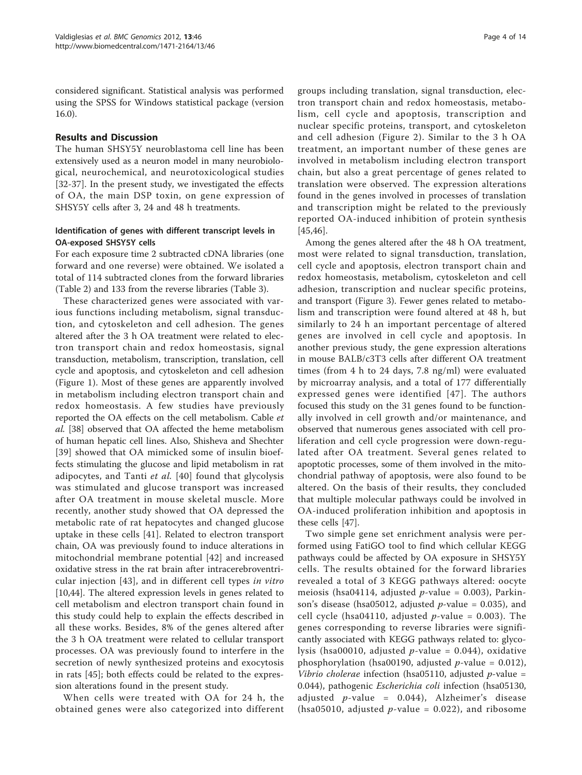considered significant. Statistical analysis was performed using the SPSS for Windows statistical package (version 16.0).

#### Results and Discussion

The human SHSY5Y neuroblastoma cell line has been extensively used as a neuron model in many neurobiological, neurochemical, and neurotoxicological studies [[32-37](#page-12-0)]. In the present study, we investigated the effects of OA, the main DSP toxin, on gene expression of SHSY5Y cells after 3, 24 and 48 h treatments.

## Identification of genes with different transcript levels in OA-exposed SHSY5Y cells

For each exposure time 2 subtracted cDNA libraries (one forward and one reverse) were obtained. We isolated a total of 114 subtracted clones from the forward libraries (Table [2](#page-4-0)) and 133 from the reverse libraries (Table [3\)](#page-6-0).

These characterized genes were associated with various functions including metabolism, signal transduction, and cytoskeleton and cell adhesion. The genes altered after the 3 h OA treatment were related to electron transport chain and redox homeostasis, signal transduction, metabolism, transcription, translation, cell cycle and apoptosis, and cytoskeleton and cell adhesion (Figure [1\)](#page-8-0). Most of these genes are apparently involved in metabolism including electron transport chain and redox homeostasis. A few studies have previously reported the OA effects on the cell metabolism. Cable et al. [\[38](#page-12-0)] observed that OA affected the heme metabolism of human hepatic cell lines. Also, Shisheva and Shechter [[39](#page-12-0)] showed that OA mimicked some of insulin bioeffects stimulating the glucose and lipid metabolism in rat adipocytes, and Tanti et al. [\[40\]](#page-12-0) found that glycolysis was stimulated and glucose transport was increased after OA treatment in mouse skeletal muscle. More recently, another study showed that OA depressed the metabolic rate of rat hepatocytes and changed glucose uptake in these cells [[41\]](#page-12-0). Related to electron transport chain, OA was previously found to induce alterations in mitochondrial membrane potential [\[42\]](#page-12-0) and increased oxidative stress in the rat brain after intracerebroventricular injection [[43\]](#page-12-0), and in different cell types in vitro [[10,](#page-11-0)[44\]](#page-12-0). The altered expression levels in genes related to cell metabolism and electron transport chain found in this study could help to explain the effects described in all these works. Besides, 8% of the genes altered after the 3 h OA treatment were related to cellular transport processes. OA was previously found to interfere in the secretion of newly synthesized proteins and exocytosis in rats [\[45](#page-12-0)]; both effects could be related to the expression alterations found in the present study.

When cells were treated with OA for 24 h, the obtained genes were also categorized into different

groups including translation, signal transduction, electron transport chain and redox homeostasis, metabolism, cell cycle and apoptosis, transcription and nuclear specific proteins, transport, and cytoskeleton and cell adhesion (Figure [2](#page-8-0)). Similar to the 3 h OA treatment, an important number of these genes are involved in metabolism including electron transport chain, but also a great percentage of genes related to translation were observed. The expression alterations found in the genes involved in processes of translation and transcription might be related to the previously reported OA-induced inhibition of protein synthesis [[45,46](#page-12-0)].

Among the genes altered after the 48 h OA treatment, most were related to signal transduction, translation, cell cycle and apoptosis, electron transport chain and redox homeostasis, metabolism, cytoskeleton and cell adhesion, transcription and nuclear specific proteins, and transport (Figure [3](#page-8-0)). Fewer genes related to metabolism and transcription were found altered at 48 h, but similarly to 24 h an important percentage of altered genes are involved in cell cycle and apoptosis. In another previous study, the gene expression alterations in mouse BALB/c3T3 cells after different OA treatment times (from 4 h to 24 days, 7.8 ng/ml) were evaluated by microarray analysis, and a total of 177 differentially expressed genes were identified [[47](#page-12-0)]. The authors focused this study on the 31 genes found to be functionally involved in cell growth and/or maintenance, and observed that numerous genes associated with cell proliferation and cell cycle progression were down-regulated after OA treatment. Several genes related to apoptotic processes, some of them involved in the mitochondrial pathway of apoptosis, were also found to be altered. On the basis of their results, they concluded that multiple molecular pathways could be involved in OA-induced proliferation inhibition and apoptosis in these cells [[47\]](#page-12-0).

Two simple gene set enrichment analysis were performed using FatiGO tool to find which cellular KEGG pathways could be affected by OA exposure in SHSY5Y cells. The results obtained for the forward libraries revealed a total of 3 KEGG pathways altered: oocyte meiosis (hsa04114, adjusted  $p$ -value = 0.003), Parkinson's disease (hsa05012, adjusted  $p$ -value = 0.035), and cell cycle (hsa04110, adjusted *p*-value = 0.003). The genes corresponding to reverse libraries were significantly associated with KEGG pathways related to: glycolysis (hsa00010, adjusted  $p$ -value = 0.044), oxidative phosphorylation (hsa00190, adjusted  $p$ -value = 0.012), Vibrio cholerae infection (hsa05110, adjusted  $p$ -value = 0.044), pathogenic Escherichia coli infection (hsa05130, adjusted  $p$ -value = 0.044), Alzheimer's disease (hsa05010, adjusted *p*-value = 0.022), and ribosome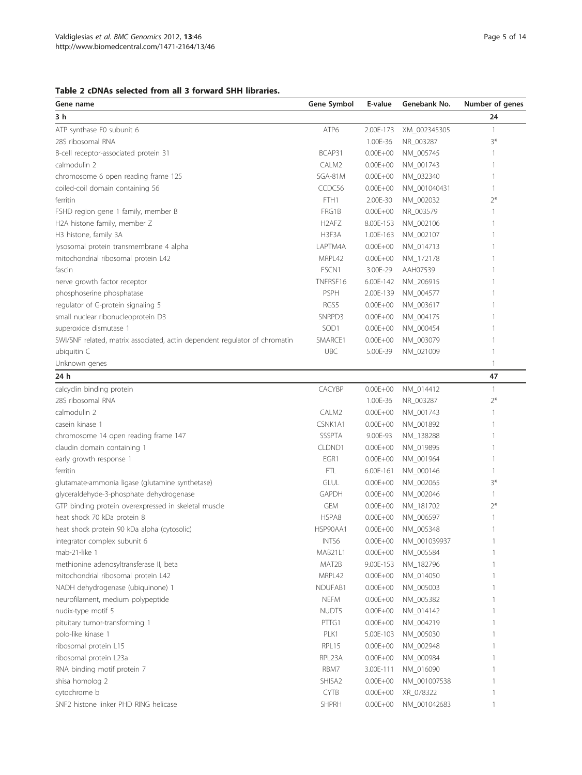#### <span id="page-4-0"></span>Table 2 cDNAs selected from all 3 forward SHH libraries.

| Gene name                                                                  | Gene Symbol                    | E-value      | Genebank No. | Number of genes          |
|----------------------------------------------------------------------------|--------------------------------|--------------|--------------|--------------------------|
| 3 h                                                                        |                                |              |              | 24                       |
| ATP synthase F0 subunit 6                                                  | ATP6                           | 2.00E-173    | XM_002345305 | $\overline{1}$           |
| 28S ribosomal RNA                                                          |                                | 1.00E-36     | NR_003287    | $3*$                     |
| B-cell receptor-associated protein 31                                      | BCAP31                         | $0.00E + 00$ | NM_005745    | 1                        |
| calmodulin 2                                                               | CALM2                          | $0.00E + 00$ | NM_001743    | 1                        |
| chromosome 6 open reading frame 125                                        | SGA-81M                        | $0.00E + 00$ | NM_032340    | 1                        |
| coiled-coil domain containing 56                                           | CCDC56                         | $0.00E + 00$ | NM_001040431 | $\overline{1}$           |
| ferritin                                                                   | FTH1                           | 2.00E-30     | NM_002032    | $2*$                     |
| FSHD region gene 1 family, member B                                        | FRG1B                          | $0.00E + 00$ | NR_003579    | 1                        |
| H2A histone family, member Z                                               | H <sub>2</sub> AF <sub>Z</sub> | 8.00E-153    | NM_002106    | 1                        |
| H3 histone, family 3A                                                      | H3F3A                          | 1.00E-163    | NM_002107    | 1                        |
| lysosomal protein transmembrane 4 alpha                                    | LAPTM4A                        | $0.00E + 00$ | NM_014713    | 1                        |
| mitochondrial ribosomal protein L42                                        | MRPL42                         | $0.00E + 00$ | NM_172178    | 1                        |
| fascin                                                                     | FSCN1                          | 3.00E-29     | AAH07539     | 1                        |
| nerve growth factor receptor                                               | TNFRSF16                       | 6.00E-142    | NM_206915    | 1                        |
| phosphoserine phosphatase                                                  | <b>PSPH</b>                    | 2.00E-139    | NM_004577    | 1                        |
| regulator of G-protein signaling 5                                         | RGS5                           | $0.00E + 00$ | NM_003617    | 1                        |
| small nuclear ribonucleoprotein D3                                         | SNRPD3                         | $0.00E + 00$ | NM_004175    | 1                        |
| superoxide dismutase 1                                                     | SOD <sub>1</sub>               | $0.00E + 00$ | NM_000454    | 1                        |
| SWI/SNF related, matrix associated, actin dependent regulator of chromatin | SMARCE1                        | $0.00E + 00$ | NM_003079    | 1                        |
| ubiquitin C                                                                | <b>UBC</b>                     | 5.00E-39     | NM_021009    | 1                        |
| Unknown genes                                                              |                                |              |              | 1                        |
| 24 h                                                                       |                                |              |              | 47                       |
| calcyclin binding protein                                                  | <b>CACYBP</b>                  | $0.00E + 00$ | NM_014412    | $\overline{\phantom{a}}$ |
| 28S ribosomal RNA                                                          |                                | 1.00E-36     | NR_003287    | $2*$                     |
| calmodulin 2                                                               | CALM2                          | $0.00E + 00$ | NM_001743    | $\mathbf{1}$             |
| casein kinase 1                                                            | CSNK1A1                        | $0.00E + 00$ | NM_001892    | $\mathbf{1}$             |
| chromosome 14 open reading frame 147                                       | <b>SSSPTA</b>                  | 9.00E-93     | NM_138288    | $\mathbf{1}$             |
| claudin domain containing 1                                                | CLDND1                         | $0.00E + 00$ | NM_019895    | $\mathbf{1}$             |
| early growth response 1                                                    | EGR1                           | $0.00E + 00$ | NM_001964    | $\mathbf{1}$             |
| ferritin                                                                   | FTL.                           | 6.00E-161    | NM_000146    | 1                        |
| glutamate-ammonia ligase (glutamine synthetase)                            | GLUL                           | $0.00E + 00$ | NM_002065    | $3*$                     |
| glyceraldehyde-3-phosphate dehydrogenase                                   | <b>GAPDH</b>                   | $0.00E + 00$ | NM_002046    | 1                        |
| GTP binding protein overexpressed in skeletal muscle                       | <b>GEM</b>                     | $0.00E + 00$ | NM_181702    | $2*$                     |
| heat shock 70 kDa protein 8                                                | HSPA8                          | $0.00E + 00$ | NM_006597    | $\mathbf{1}$             |
| heat shock protein 90 kDa alpha (cytosolic)                                | HSP90AA1                       | $0.00E + 00$ | NM_005348    | 1                        |
| integrator complex subunit 6                                               | INTS6                          | $0.00E + 00$ | NM_001039937 | $\mathbf{1}$             |
| mab-21-like 1                                                              | MAB21L1                        | $0.00E + 00$ | NM_005584    | $\mathbf{1}$             |
| methionine adenosyltransferase II, beta                                    | MAT2B                          | 9.00E-153    | NM_182796    | $\mathbb{1}$             |
| mitochondrial ribosomal protein L42                                        | MRPL42                         | $0.00E + 00$ | NM_014050    | $\mathbb{1}$             |
| NADH dehydrogenase (ubiquinone) 1                                          | NDUFAB1                        | $0.00E + 00$ | NM_005003    | $\mathbb{1}$             |
| neurofilament, medium polypeptide                                          | <b>NEFM</b>                    | $0.00E + 00$ | NM_005382    | $\mathbb{1}$             |
| nudix-type motif 5                                                         | NUDT5                          | $0.00E + 00$ | NM_014142    | $\mathbb{1}$             |
| pituitary tumor-transforming 1                                             | PTTG1                          | $0.00E + 00$ | NM 004219    | $\mathbb{1}$             |
| polo-like kinase 1                                                         | PLK1                           | 5.00E-103    | NM_005030    | $\mathbb{1}$             |
| ribosomal protein L15                                                      | RPL15                          | $0.00E + 00$ | NM_002948    | $\mathbb{1}$             |
| ribosomal protein L23a                                                     | RPL23A                         | $0.00E + 00$ | NM_000984    | $\mathbb{1}$             |
| RNA binding motif protein 7                                                | RBM7                           | 3.00E-111    | NM_016090    | $\mathbf{1}$             |
| shisa homolog 2                                                            | SHISA2                         | $0.00E + 00$ | NM_001007538 | $\mathbf{1}$             |
| cytochrome b                                                               | <b>CYTB</b>                    | $0.00E + 00$ | XR_078322    | $\mathbf{1}$             |
| SNF2 histone linker PHD RING helicase                                      | SHPRH                          | $0.00E + 00$ | NM_001042683 | $\mathbf{1}$             |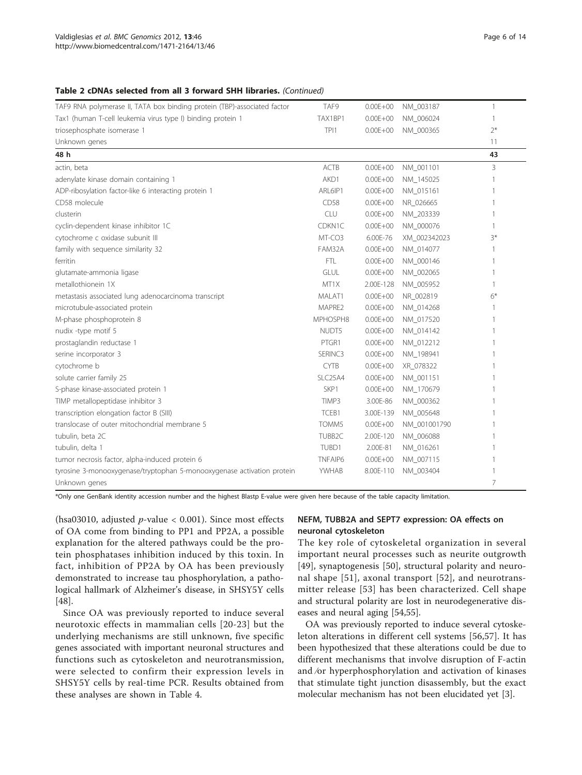#### Table 2 cDNAs selected from all 3 forward SHH libraries. (Continued)

| TAF9 RNA polymerase II, TATA box binding protein (TBP)-associated factor | TAF9           | $0.00E + 00$ | NM_003187    | $\mathbf{1}$ |
|--------------------------------------------------------------------------|----------------|--------------|--------------|--------------|
| Tax1 (human T-cell leukemia virus type I) binding protein 1              | TAX1BP1        | $0.00E + 00$ | NM_006024    | 1            |
| triosephosphate isomerase 1                                              | TPI1           | $0.00E + 00$ | NM_000365    | $2*$         |
| Unknown genes                                                            |                |              |              | 11           |
| 48 h                                                                     |                |              |              | 43           |
| actin, beta                                                              | <b>ACTB</b>    | $0.00E + 00$ | NM 001101    | 3            |
| adenylate kinase domain containing 1                                     | AKD1           | $0.00E + 00$ | NM 145025    |              |
| ADP-ribosylation factor-like 6 interacting protein 1                     | ARL6IP1        | $0.00E + 00$ | NM 015161    |              |
| CD58 molecule                                                            | CD58           | $0.00E + 00$ | NR_026665    | 1            |
| clusterin                                                                | CLU            | $0.00E + 00$ | NM 203339    | 1            |
| cyclin-dependent kinase inhibitor 1C                                     | CDKN1C         | $0.00E + 00$ | NM_000076    | 1            |
| cytochrome c oxidase subunit III                                         | MT-CO3         | 6.00E-76     | XM_002342023 | $3*$         |
| family with sequence similarity 32                                       | FAM32A         | $0.00E + 00$ | NM_014077    |              |
| ferritin                                                                 | <b>FTL</b>     | $0.00E + 00$ | NM_000146    | 1            |
| glutamate-ammonia ligase                                                 | GLUL           | $0.00E + 00$ | NM_002065    |              |
| metallothionein 1X                                                       | MT1X           | 2.00E-128    | NM_005952    | 1            |
| metastasis associated lung adenocarcinoma transcript                     | MALAT1         | $0.00E + 00$ | NR_002819    | $6*$         |
| microtubule-associated protein                                           | MAPRE2         | $0.00E + 00$ | NM_014268    | 1            |
| M-phase phosphoprotein 8                                                 | MPHOSPH8       | $0.00E + 00$ | NM_017520    | 1            |
| nudix -type motif 5                                                      | NUDT5          | $0.00E + 00$ | NM_014142    | 1            |
| prostaglandin reductase 1                                                | PTGR1          | $0.00E + 00$ | NM_012212    |              |
| serine incorporator 3                                                    | SERINC3        | $0.00E + 00$ | NM_198941    | 1            |
| cytochrome b                                                             | <b>CYTB</b>    | $0.00E + 00$ | XR_078322    |              |
| solute carrier family 25                                                 | SLC25A4        | $0.00E + 00$ | NM_001151    | 1            |
| S-phase kinase-associated protein 1                                      | SKP1           | $0.00E + 00$ | NM_170679    |              |
| TIMP metallopeptidase inhibitor 3                                        | TIMP3          | 3.00E-86     | NM_000362    | 1            |
| transcription elongation factor B (SIII)                                 | TCEB1          | 3.00E-139    | NM_005648    |              |
| translocase of outer mitochondrial membrane 5                            | TOMM5          | $0.00E + 00$ | NM_001001790 | 1            |
| tubulin, beta 2C                                                         | TUBB2C         | 2.00E-120    | NM_006088    |              |
| tubulin, delta 1                                                         | TUBD1          | 2.00E-81     | NM_016261    |              |
| tumor necrosis factor, alpha-induced protein 6                           | <b>TNFAIP6</b> | $0.00E + 00$ | NM_007115    |              |
| tyrosine 3-monooxygenase/tryptophan 5-monooxygenase activation protein   | YWHAB          | 8.00E-110    | NM 003404    |              |
| Unknown genes                                                            |                |              |              | 7            |

\*Only one GenBank identity accession number and the highest Blastp E-value were given here because of the table capacity limitation.

(hsa03010, adjusted  $p$ -value < 0.001). Since most effects of OA come from binding to PP1 and PP2A, a possible explanation for the altered pathways could be the protein phosphatases inhibition induced by this toxin. In fact, inhibition of PP2A by OA has been previously demonstrated to increase tau phosphorylation, a pathological hallmark of Alzheimer's disease, in SHSY5Y cells [[48\]](#page-12-0).

Since OA was previously reported to induce several neurotoxic effects in mammalian cells [\[20-23\]](#page-11-0) but the underlying mechanisms are still unknown, five specific genes associated with important neuronal structures and functions such as cytoskeleton and neurotransmission, were selected to confirm their expression levels in SHSY5Y cells by real-time PCR. Results obtained from these analyses are shown in Table [4.](#page-8-0)

#### NEFM, TUBB2A and SEPT7 expression: OA effects on neuronal cytoskeleton

The key role of cytoskeletal organization in several important neural processes such as neurite outgrowth [[49\]](#page-12-0), synaptogenesis [[50\]](#page-12-0), structural polarity and neuronal shape [\[51\]](#page-12-0), axonal transport [[52](#page-12-0)], and neurotransmitter release [\[53\]](#page-12-0) has been characterized. Cell shape and structural polarity are lost in neurodegenerative diseases and neural aging [[54,55](#page-12-0)].

OA was previously reported to induce several cytoskeleton alterations in different cell systems [[56,57\]](#page-12-0). It has been hypothesized that these alterations could be due to different mechanisms that involve disruption of F-actin and ⁄or hyperphosphorylation and activation of kinases that stimulate tight junction disassembly, but the exact molecular mechanism has not been elucidated yet [[3\]](#page-11-0).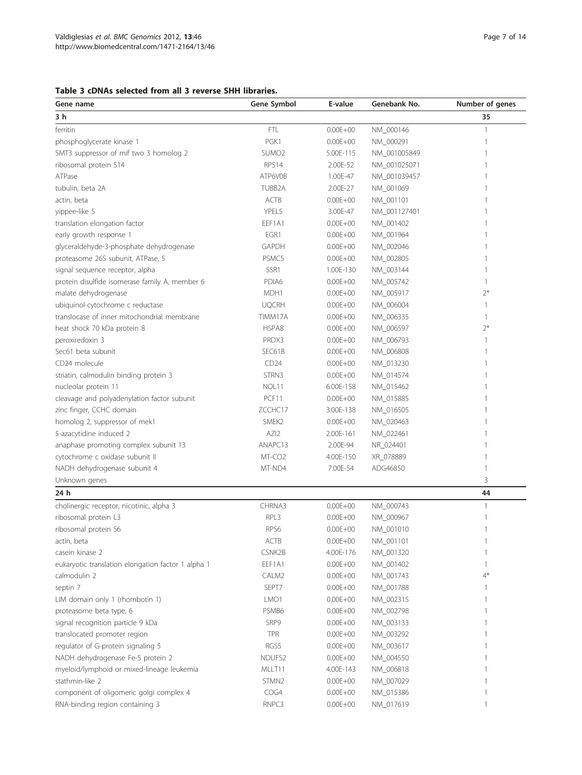<span id="page-6-0"></span>

| Table 3 cDNAs selected from all 3 reverse SHH libraries. |  |  |  |
|----------------------------------------------------------|--|--|--|
|----------------------------------------------------------|--|--|--|

| Gene name                                          | Gene Symbol        | E-value      | Genebank No. | Number of genes |
|----------------------------------------------------|--------------------|--------------|--------------|-----------------|
| 3 h                                                |                    |              |              | 35              |
| ferritin                                           | <b>FTL</b>         | $0.00E + 00$ | NM_000146    | 1               |
| phosphoglycerate kinase 1                          | PGK1               | $0.00E + 00$ | NM_000291    | 1               |
| SMT3 suppressor of mif two 3 homolog 2             | SUMO <sub>2</sub>  | 5.00E-115    | NM_001005849 |                 |
| ribosomal protein S14                              | RPS14              | 2.00E-52     | NM_001025071 |                 |
| ATPase                                             | ATP6V0B            | 1.00E-47     | NM_001039457 |                 |
| tubulin, beta 2A                                   | TUBB2A             | 2.00E-27     | NM_001069    |                 |
| actin, beta                                        | <b>ACTB</b>        | $0.00E + 00$ | NM_001101    |                 |
| yippee-like 5                                      | YPEL5              | 3.00E-47     | NM_001127401 |                 |
| translation elongation factor                      | EEF1A1             | $0.00E + 00$ | NM_001402    |                 |
| early growth response 1                            | EGR1               | $0.00E + 00$ | NM_001964    |                 |
| glyceraldehyde-3-phosphate dehydrogenase           | <b>GAPDH</b>       | $0.00E + 00$ | NM_002046    |                 |
| proteasome 26S subunit, ATPase, 5                  | PSMC5              | $0.00E + 00$ | NM_002805    |                 |
| signal sequence receptor, alpha                    | SSR1               | 1.00E-130    | NM_003144    |                 |
| protein disulfide isomerase family A, member 6     | PDIA6              | $0.00E + 00$ | NM_005742    | 1               |
| malate dehydrogenase                               | MDH1               | $0.00E + 00$ | NM_005917    | $2*$            |
| ubiquinol-cytochrome c reductase                   | <b>UQCRH</b>       | $0.00E + 00$ | NM_006004    | 1               |
| translocase of inner mitochondrial membrane        | TIMM17A            | $0.00E + 00$ | NM_006335    | 1               |
| heat shock 70 kDa protein 8                        | HSPA8              | $0.00E + 00$ | NM_006597    | $2*$            |
| peroxiredoxin 3                                    | PRDX3              | $0.00E + 00$ | NM_006793    | 1               |
| Sec61 beta subunit                                 | SEC61B             | $0.00E + 00$ | NM_006808    |                 |
| CD24 molecule                                      | CD24               | $0.00E + 00$ | NM_013230    |                 |
| striatin, calmodulin binding protein 3             | STRN3              | $0.00E + 00$ | NM_014574    |                 |
| nucleolar protein 11                               | NOL <sub>11</sub>  | 6.00E-158    | NM_015462    |                 |
| cleavage and polyadenylation factor subunit        | PCF11              | $0.00E + 00$ | NM_015885    |                 |
| zinc finger, CCHC domain                           | ZCCHC17            | 3.00E-138    | NM_016505    |                 |
| homolog 2, suppressor of mek1                      | SMEK <sub>2</sub>  | $0.00E + 00$ | NM_020463    |                 |
| 5-azacytidine induced 2                            | AZI2               | 2.00E-161    | NM_022461    |                 |
| anaphase promoting complex subunit 13              | ANAPC13            | 2.00E-94     | NR_024401    |                 |
| cytochrome c oxidase subunit II                    | MT-CO <sub>2</sub> | 4.00E-150    | XR_078889    | 1               |
| NADH dehydrogenase subunit 4                       | MT-ND4             | 7.00E-54     | ADG46850     | 1               |
| Unknown genes                                      |                    |              |              | 3               |
| 24 h                                               |                    |              |              | 44              |
| cholinergic receptor, nicotinic, alpha 3           | CHRNA3             | $0.00E + 00$ | NM_000743    | $\mathbf{1}$    |
| ribosomal protein L3                               | RPL3               | $0.00E + 00$ | NM_000967    | 1               |
| ribosomal protein S6                               | RPS6               | $0.00E + 00$ | NM_001010    | 1               |
| actin, beta                                        | ACTB               | $0.00E + 00$ | NM_001101    |                 |
| casein kinase 2                                    | CSNK2B             | 4.00E-176    | NM_001320    |                 |
| eukaryotic translation elongation factor 1 alpha 1 | EEF1A1             | $0.00E + 00$ | NM_001402    |                 |
| calmodulin 2                                       | CALM2              | $0.00E + 00$ | NM_001743    | $4*$            |
| septin 7                                           | SEPT7              | $0.00E + 00$ | NM_001788    |                 |
| LIM domain only 1 (rhombotin 1)                    | LMO1               | $0.00E + 00$ | NM_002315    |                 |
| proteasome beta type, 6                            | PSMB6              | $0.00E + 00$ | NM_002798    |                 |
| signal recognition particle 9 kDa                  | SRP9               | $0.00E + 00$ | NM_003133    |                 |
| translocated promoter region                       | <b>TPR</b>         | $0.00E + 00$ | NM_003292    |                 |
| regulator of G-protein signaling 5                 | RGS5               | $0.00E + 00$ | NM_003617    |                 |
| NADH dehydrogenase Fe-S protein 2                  | NDUFS2             | $0.00E + 00$ | NM_004550    |                 |
| myeloid/lymphoid or mixed-lineage leukemia         | MLLT11             | 4.00E-143    | NM_006818    |                 |
| stathmin-like 2                                    | STMN2              | $0.00E + 00$ | NM_007029    |                 |
| component of oligomeric golgi complex 4            | COG4               | $0.00E + 00$ | NM_015386    |                 |
| RNA-binding region containing 3                    | RNPC3              | $0.00E + 00$ | NM_017619    |                 |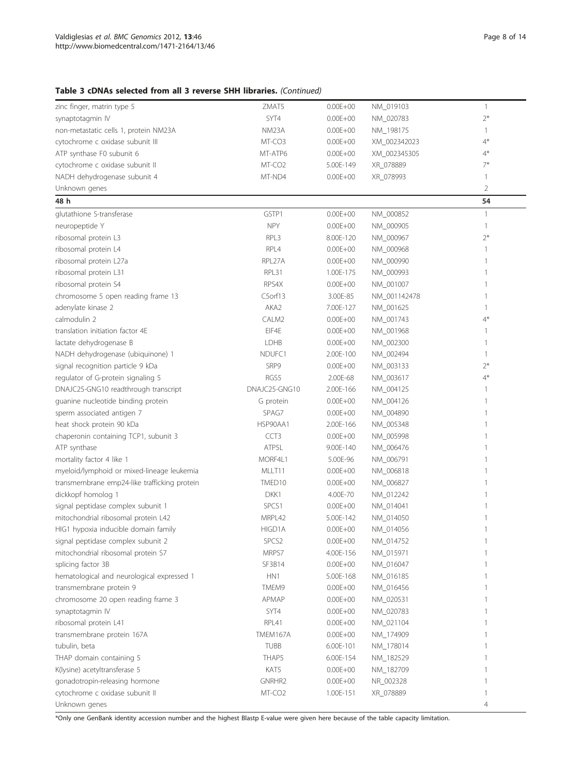## Table 3 cDNAs selected from all 3 reverse SHH libraries. (Continued)

| zinc finger, matrin type 5                   | ZMAT5              | $0.00E + 00$ | NM_019103    | $\overline{1}$ |
|----------------------------------------------|--------------------|--------------|--------------|----------------|
| synaptotagmin IV                             | SYT4               | $0.00E + 00$ | NM_020783    | $2*$           |
| non-metastatic cells 1, protein NM23A        | NM23A              | $0.00E + 00$ | NM_198175    | -1             |
| cytochrome c oxidase subunit III             | MT-CO3             | $0.00E + 00$ | XM_002342023 | $4*$           |
| ATP synthase F0 subunit 6                    | MT-ATP6            | $0.00E + 00$ | XM_002345305 | $4*$           |
| cytochrome c oxidase subunit II              | MT-CO <sub>2</sub> | 5.00E-149    | XR_078889    | 7*             |
| NADH dehydrogenase subunit 4                 | MT-ND4             | $0.00E + 00$ | XR_078993    | 1              |
| Unknown genes                                |                    |              |              | 2              |
| 48 h                                         |                    |              |              | 54             |
| glutathione S-transferase                    | GSTP1              | $0.00E + 00$ | NM_000852    | $\mathbf{1}$   |
| neuropeptide Y                               | <b>NPY</b>         | $0.00E + 00$ | NM_000905    | $\mathbf{1}$   |
| ribosomal protein L3                         | RPL3               | 8.00E-120    | NM_000967    | $2*$           |
| ribosomal protein L4                         | RPL4               | $0.00E + 00$ | NM_000968    |                |
| ribosomal protein L27a                       | RPL27A             | $0.00E + 00$ | NM_000990    |                |
| ribosomal protein L31                        | RPL31              | 1.00E-175    | NM_000993    |                |
| ribosomal protein S4                         | RPS4X              | $0.00E + 00$ | NM_001007    |                |
| chromosome 5 open reading frame 13           | C5orf13            | 3.00E-85     | NM_001142478 |                |
| adenylate kinase 2                           | AKA2               | 7.00E-127    | NM_001625    | 1              |
| calmodulin 2                                 | CALM2              | $0.00E + 00$ | NM_001743    | $4*$           |
| translation initiation factor 4E             | EIF4E              | $0.00E + 00$ | NM_001968    |                |
| lactate dehydrogenase B                      | <b>LDHB</b>        | $0.00E + 00$ | NM_002300    | 1              |
| NADH dehydrogenase (ubiquinone) 1            | NDUFC1             | 2.00E-100    | NM_002494    | 1              |
| signal recognition particle 9 kDa            | SRP9               | $0.00E + 00$ | NM_003133    | $2*$           |
| regulator of G-protein signaling 5           | RGS5               | 2.00E-68     | NM_003617    | $4*$           |
|                                              | DNAJC25-GNG10      |              |              |                |
| DNAJC25-GNG10 readthrough transcript         |                    | 2.00E-166    | NM_004125    | 1              |
| guanine nucleotide binding protein           | G protein          | $0.00E + 00$ | NM_004126    |                |
| sperm associated antigen 7                   | SPAG7              | $0.00E + 00$ | NM_004890    |                |
| heat shock protein 90 kDa                    | HSP90AA1           | 2.00E-166    | NM_005348    |                |
| chaperonin containing TCP1, subunit 3        | CCT <sub>3</sub>   | $0.00E + 00$ | NM_005998    |                |
| ATP synthase                                 | ATP5L              | 9.00E-140    | NM_006476    |                |
| mortality factor 4 like 1                    | MORF4L1            | 5.00E-96     | NM_006791    |                |
| myeloid/lymphoid or mixed-lineage leukemia   | MLLT11             | $0.00E + 00$ | NM_006818    |                |
| transmembrane emp24-like trafficking protein | TMED10             | $0.00E + 00$ | NM_006827    |                |
| dickkopf homolog 1                           | DKK1               | 4.00E-70     | NM_012242    |                |
| signal peptidase complex subunit 1           | SPCS1              | $0.00E + 00$ | NM_014041    |                |
| mitochondrial ribosomal protein L42          | MRPL42             | 5.00E-142    | NM_014050    | 1              |
| HIG1 hypoxia inducible domain family         | HIGD1A             | $0.00E + 00$ | NM_014056    | 1              |
| signal peptidase complex subunit 2           | SPCS <sub>2</sub>  | $0.00E + 00$ | NM_014752    | 1              |
| mitochondrial ribosomal protein S7           | MRPS7              | 4.00E-156    | NM_015971    | 1              |
| splicing factor 3B                           | SF3B14             | $0.00E + 00$ | NM_016047    |                |
| hematological and neurological expressed 1   | HN <sub>1</sub>    | 5.00E-168    | NM_016185    |                |
| transmembrane protein 9                      | TMEM9              | $0.00E + 00$ | NM_016456    |                |
| chromosome 20 open reading frame 3           | APMAP              | $0.00E + 00$ | NM_020531    |                |
| synaptotagmin IV                             | SYT4               | $0.00E + 00$ | NM_020783    |                |
| ribosomal protein L41                        | RPL41              | $0.00E + 00$ | NM_021104    |                |
| transmembrane protein 167A                   | TMEM167A           | $0.00E + 00$ | NM_174909    |                |
| tubulin, beta                                | <b>TUBB</b>        | 6.00E-101    | NM_178014    |                |
| THAP domain containing 5                     | THAP5              | 6.00E-154    | NM_182529    |                |
| K(lysine) acetyltransferase 5                | KAT5               | $0.00E + 00$ | NM_182709    |                |
| gonadotropin-releasing hormone               | GNRHR2             | $0.00E + 00$ | NR_002328    |                |
| cytochrome c oxidase subunit II              | MT-CO <sub>2</sub> | 1.00E-151    | XR_078889    | 1              |
| Unknown genes                                |                    |              |              | 4              |

\*Only one GenBank identity accession number and the highest Blastp E-value were given here because of the table capacity limitation.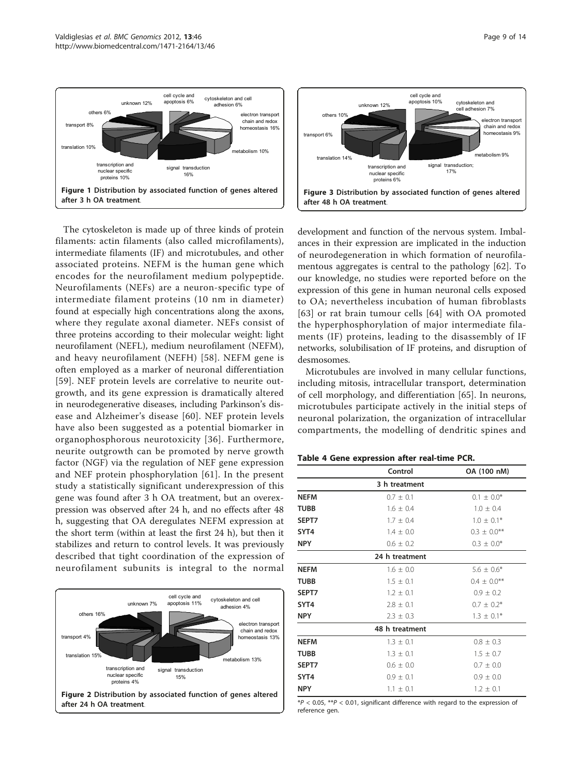<span id="page-8-0"></span>

The cytoskeleton is made up of three kinds of protein filaments: actin filaments (also called microfilaments), intermediate filaments (IF) and microtubules, and other associated proteins. NEFM is the human gene which encodes for the neurofilament medium polypeptide. Neurofilaments (NEFs) are a neuron-specific type of intermediate filament proteins (10 nm in diameter) found at especially high concentrations along the axons, where they regulate axonal diameter. NEFs consist of three proteins according to their molecular weight: light neurofilament (NEFL), medium neurofilament (NEFM), and heavy neurofilament (NEFH) [[58](#page-12-0)]. NEFM gene is often employed as a marker of neuronal differentiation [[59](#page-12-0)]. NEF protein levels are correlative to neurite outgrowth, and its gene expression is dramatically altered in neurodegenerative diseases, including Parkinson's disease and Alzheimer's disease [[60](#page-12-0)]. NEF protein levels have also been suggested as a potential biomarker in organophosphorous neurotoxicity [[36](#page-12-0)]. Furthermore, neurite outgrowth can be promoted by nerve growth factor (NGF) via the regulation of NEF gene expression and NEF protein phosphorylation [[61\]](#page-12-0). In the present study a statistically significant underexpression of this gene was found after 3 h OA treatment, but an overexpression was observed after 24 h, and no effects after 48 h, suggesting that OA deregulates NEFM expression at the short term (within at least the first 24 h), but then it stabilizes and return to control levels. It was previously described that tight coordination of the expression of neurofilament subunits is integral to the normal





development and function of the nervous system. Imbalances in their expression are implicated in the induction of neurodegeneration in which formation of neurofilamentous aggregates is central to the pathology [[62](#page-12-0)]. To our knowledge, no studies were reported before on the expression of this gene in human neuronal cells exposed to OA; nevertheless incubation of human fibroblasts [[63](#page-12-0)] or rat brain tumour cells [[64\]](#page-12-0) with OA promoted the hyperphosphorylation of major intermediate filaments (IF) proteins, leading to the disassembly of IF networks, solubilisation of IF proteins, and disruption of desmosomes.

Microtubules are involved in many cellular functions, including mitosis, intracellular transport, determination of cell morphology, and differentiation [\[65](#page-12-0)]. In neurons, microtubules participate actively in the initial steps of neuronal polarization, the organization of intracellular compartments, the modelling of dendritic spines and

#### Table 4 Gene expression after real-time PCR.

|             | Control        | OA (100 nM)      |
|-------------|----------------|------------------|
|             | 3 h treatment  |                  |
| <b>NEFM</b> | $0.7 \pm 0.1$  | $0.1 \pm 0.0^*$  |
| TUBB        | $1.6 \pm 0.4$  | $1.0 \pm 0.4$    |
| SEPT7       | $1.7 \pm 0.4$  | $1.0 + 0.1*$     |
| SYT4        | $1.4 \pm 0.0$  | $0.3 \pm 0.0$ ** |
| <b>NPY</b>  | $0.6 + 0.2$    | $0.3 \pm 0.0^*$  |
|             | 24 h treatment |                  |
| <b>NEFM</b> | $1.6 \pm 0.0$  | $5.6 \pm 0.6*$   |
| <b>TUBB</b> | $1.5 \pm 0.1$  | $0.4 \pm 0.0$ ** |
| SEPT7       | $1.2 \pm 0.1$  | $0.9 \pm 0.2$    |
| SYT4        | $2.8 \pm 0.1$  | $0.7 \pm 0.2^*$  |
| <b>NPY</b>  | $2.3 \pm 0.3$  | $1.3 \pm 0.1*$   |
|             | 48 h treatment |                  |
| <b>NEFM</b> | $1.3 \pm 0.1$  | $0.8 \pm 0.3$    |
| TUBB        | $1.3 \pm 0.1$  | $1.5 \pm 0.7$    |
| SEPT7       | $0.6 \pm 0.0$  | $0.7 \pm 0.0$    |
| SYT4        | $0.9 \pm 0.1$  | $0.9 \pm 0.0$    |
| <b>NPY</b>  | $1.1 + 0.1$    | $1.2 + 0.1$      |
|             |                |                  |

 $*P < 0.05$ ,  $**P < 0.01$ , significant difference with regard to the expression of reference gen.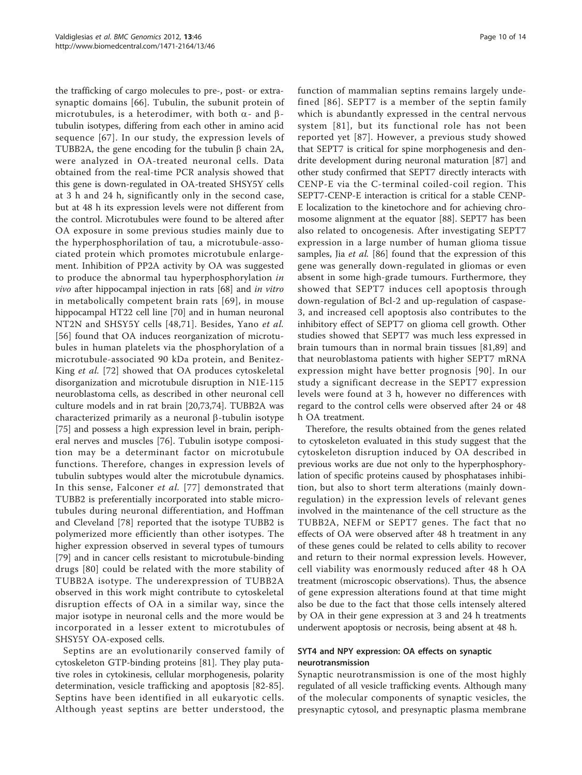the trafficking of cargo molecules to pre-, post- or extrasynaptic domains [\[66](#page-12-0)]. Tubulin, the subunit protein of microtubules, is a heterodimer, with both  $\alpha$ - and  $\beta$ tubulin isotypes, differing from each other in amino acid sequence [[67\]](#page-12-0). In our study, the expression levels of TUBB2A, the gene encoding for the tubulin  $\beta$  chain 2A, were analyzed in OA-treated neuronal cells. Data obtained from the real-time PCR analysis showed that this gene is down-regulated in OA-treated SHSY5Y cells at 3 h and 24 h, significantly only in the second case, but at 48 h its expression levels were not different from the control. Microtubules were found to be altered after OA exposure in some previous studies mainly due to the hyperphosphorilation of tau, a microtubule-associated protein which promotes microtubule enlargement. Inhibition of PP2A activity by OA was suggested to produce the abnormal tau hyperphosphorylation in vivo after hippocampal injection in rats [[68\]](#page-13-0) and in vitro in metabolically competent brain rats [[69\]](#page-13-0), in mouse hippocampal HT22 cell line [\[70](#page-13-0)] and in human neuronal NT2N and SHSY5Y cells [[48](#page-12-0)[,71\]](#page-13-0). Besides, Yano et al. [[56](#page-12-0)] found that OA induces reorganization of microtubules in human platelets via the phosphorylation of a microtubule-associated 90 kDa protein, and Benitez-King et al. [[72\]](#page-13-0) showed that OA produces cytoskeletal disorganization and microtubule disruption in N1E-115 neuroblastoma cells, as described in other neuronal cell culture models and in rat brain [[20,](#page-11-0)[73,74\]](#page-13-0). TUBB2A was characterized primarily as a neuronal  $\beta$ -tubulin isotype [[75\]](#page-13-0) and possess a high expression level in brain, peripheral nerves and muscles [[76\]](#page-13-0). Tubulin isotype composition may be a determinant factor on microtubule functions. Therefore, changes in expression levels of tubulin subtypes would alter the microtubule dynamics. In this sense, Falconer et al. [\[77\]](#page-13-0) demonstrated that TUBB2 is preferentially incorporated into stable microtubules during neuronal differentiation, and Hoffman and Cleveland [[78\]](#page-13-0) reported that the isotype TUBB2 is polymerized more efficiently than other isotypes. The higher expression observed in several types of tumours [[79\]](#page-13-0) and in cancer cells resistant to microtubule-binding drugs [[80](#page-13-0)] could be related with the more stability of TUBB2A isotype. The underexpression of TUBB2A observed in this work might contribute to cytoskeletal disruption effects of OA in a similar way, since the major isotype in neuronal cells and the more would be incorporated in a lesser extent to microtubules of SHSY5Y OA-exposed cells.

Septins are an evolutionarily conserved family of cytoskeleton GTP-binding proteins [\[81\]](#page-13-0). They play putative roles in cytokinesis, cellular morphogenesis, polarity determination, vesicle trafficking and apoptosis [[82-85](#page-13-0)]. Septins have been identified in all eukaryotic cells. Although yeast septins are better understood, the function of mammalian septins remains largely undefined [[86\]](#page-13-0). SEPT7 is a member of the septin family which is abundantly expressed in the central nervous system [[81\]](#page-13-0), but its functional role has not been reported yet [[87](#page-13-0)]. However, a previous study showed that SEPT7 is critical for spine morphogenesis and dendrite development during neuronal maturation [[87\]](#page-13-0) and other study confirmed that SEPT7 directly interacts with CENP-E via the C-terminal coiled-coil region. This SEPT7-CENP-E interaction is critical for a stable CENP-E localization to the kinetochore and for achieving chromosome alignment at the equator [[88\]](#page-13-0). SEPT7 has been also related to oncogenesis. After investigating SEPT7 expression in a large number of human glioma tissue samples, Jia et al. [\[86](#page-13-0)] found that the expression of this gene was generally down-regulated in gliomas or even absent in some high-grade tumours. Furthermore, they showed that SEPT7 induces cell apoptosis through down-regulation of Bcl-2 and up-regulation of caspase-3, and increased cell apoptosis also contributes to the inhibitory effect of SEPT7 on glioma cell growth. Other studies showed that SEPT7 was much less expressed in brain tumours than in normal brain tissues [\[81](#page-13-0),[89\]](#page-13-0) and that neuroblastoma patients with higher SEPT7 mRNA expression might have better prognosis [[90\]](#page-13-0). In our study a significant decrease in the SEPT7 expression levels were found at 3 h, however no differences with regard to the control cells were observed after 24 or 48 h OA treatment.

Therefore, the results obtained from the genes related to cytoskeleton evaluated in this study suggest that the cytoskeleton disruption induced by OA described in previous works are due not only to the hyperphosphorylation of specific proteins caused by phosphatases inhibition, but also to short term alterations (mainly downregulation) in the expression levels of relevant genes involved in the maintenance of the cell structure as the TUBB2A, NEFM or SEPT7 genes. The fact that no effects of OA were observed after 48 h treatment in any of these genes could be related to cells ability to recover and return to their normal expression levels. However, cell viability was enormously reduced after 48 h OA treatment (microscopic observations). Thus, the absence of gene expression alterations found at that time might also be due to the fact that those cells intensely altered by OA in their gene expression at 3 and 24 h treatments underwent apoptosis or necrosis, being absent at 48 h.

## SYT4 and NPY expression: OA effects on synaptic neurotransmission

Synaptic neurotransmission is one of the most highly regulated of all vesicle trafficking events. Although many of the molecular components of synaptic vesicles, the presynaptic cytosol, and presynaptic plasma membrane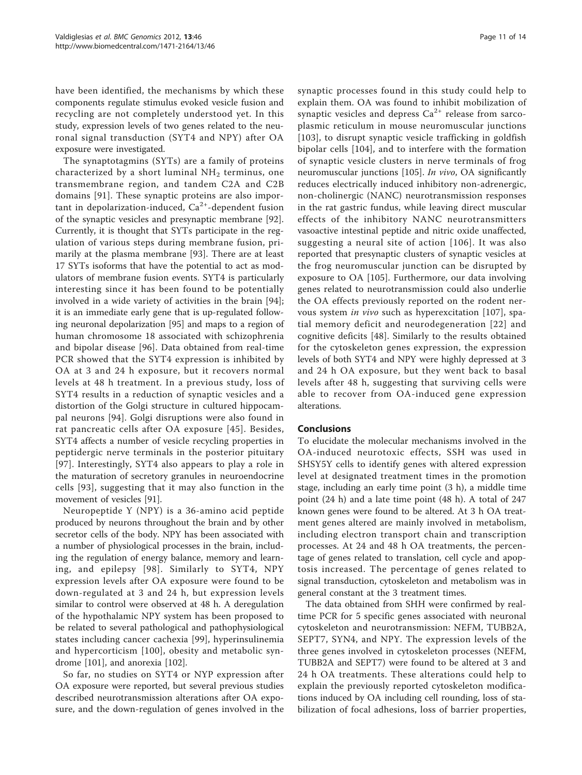have been identified, the mechanisms by which these components regulate stimulus evoked vesicle fusion and recycling are not completely understood yet. In this study, expression levels of two genes related to the neuronal signal transduction (SYT4 and NPY) after OA exposure were investigated.

The synaptotagmins (SYTs) are a family of proteins characterized by a short luminal  $NH<sub>2</sub>$  terminus, one transmembrane region, and tandem C2A and C2B domains [[91\]](#page-13-0). These synaptic proteins are also important in depolarization-induced,  $Ca<sup>2+</sup>$ -dependent fusion of the synaptic vesicles and presynaptic membrane [\[92](#page-13-0)]. Currently, it is thought that SYTs participate in the regulation of various steps during membrane fusion, primarily at the plasma membrane [[93\]](#page-13-0). There are at least 17 SYTs isoforms that have the potential to act as modulators of membrane fusion events. SYT4 is particularly interesting since it has been found to be potentially involved in a wide variety of activities in the brain [\[94](#page-13-0)]; it is an immediate early gene that is up-regulated following neuronal depolarization [[95\]](#page-13-0) and maps to a region of human chromosome 18 associated with schizophrenia and bipolar disease [[96\]](#page-13-0). Data obtained from real-time PCR showed that the SYT4 expression is inhibited by OA at 3 and 24 h exposure, but it recovers normal levels at 48 h treatment. In a previous study, loss of SYT4 results in a reduction of synaptic vesicles and a distortion of the Golgi structure in cultured hippocampal neurons [[94](#page-13-0)]. Golgi disruptions were also found in rat pancreatic cells after OA exposure [[45](#page-12-0)]. Besides, SYT4 affects a number of vesicle recycling properties in peptidergic nerve terminals in the posterior pituitary [[97](#page-13-0)]. Interestingly, SYT4 also appears to play a role in the maturation of secretory granules in neuroendocrine cells [[93](#page-13-0)], suggesting that it may also function in the movement of vesicles [[91\]](#page-13-0).

Neuropeptide Y (NPY) is a 36-amino acid peptide produced by neurons throughout the brain and by other secretor cells of the body. NPY has been associated with a number of physiological processes in the brain, including the regulation of energy balance, memory and learning, and epilepsy [[98\]](#page-13-0). Similarly to SYT4, NPY expression levels after OA exposure were found to be down-regulated at 3 and 24 h, but expression levels similar to control were observed at 48 h. A deregulation of the hypothalamic NPY system has been proposed to be related to several pathological and pathophysiological states including cancer cachexia [[99\]](#page-13-0), hyperinsulinemia and hypercorticism [[100\]](#page-13-0), obesity and metabolic syndrome [[101](#page-13-0)], and anorexia [[102\]](#page-13-0).

So far, no studies on SYT4 or NYP expression after OA exposure were reported, but several previous studies described neurotransmission alterations after OA exposure, and the down-regulation of genes involved in the synaptic processes found in this study could help to explain them. OA was found to inhibit mobilization of synaptic vesicles and depress  $Ca^{2+}$  release from sarcoplasmic reticulum in mouse neuromuscular junctions [[103](#page-13-0)], to disrupt synaptic vesicle trafficking in goldfish bipolar cells [\[104](#page-13-0)], and to interfere with the formation of synaptic vesicle clusters in nerve terminals of frog neuromuscular junctions [\[105](#page-13-0)]. In vivo, OA significantly reduces electrically induced inhibitory non-adrenergic, non-cholinergic (NANC) neurotransmission responses in the rat gastric fundus, while leaving direct muscular effects of the inhibitory NANC neurotransmitters vasoactive intestinal peptide and nitric oxide unaffected, suggesting a neural site of action [[106](#page-13-0)]. It was also reported that presynaptic clusters of synaptic vesicles at the frog neuromuscular junction can be disrupted by exposure to OA [[105\]](#page-13-0). Furthermore, our data involving genes related to neurotransmission could also underlie the OA effects previously reported on the rodent nervous system in vivo such as hyperexcitation [\[107](#page-13-0)], spatial memory deficit and neurodegeneration [[22\]](#page-11-0) and cognitive deficits [[48\]](#page-12-0). Similarly to the results obtained for the cytoskeleton genes expression, the expression levels of both SYT4 and NPY were highly depressed at 3 and 24 h OA exposure, but they went back to basal levels after 48 h, suggesting that surviving cells were able to recover from OA-induced gene expression alterations.

#### Conclusions

To elucidate the molecular mechanisms involved in the OA-induced neurotoxic effects, SSH was used in SHSY5Y cells to identify genes with altered expression level at designated treatment times in the promotion stage, including an early time point (3 h), a middle time point (24 h) and a late time point (48 h). A total of 247 known genes were found to be altered. At 3 h OA treatment genes altered are mainly involved in metabolism, including electron transport chain and transcription processes. At 24 and 48 h OA treatments, the percentage of genes related to translation, cell cycle and apoptosis increased. The percentage of genes related to signal transduction, cytoskeleton and metabolism was in general constant at the 3 treatment times.

The data obtained from SHH were confirmed by realtime PCR for 5 specific genes associated with neuronal cytoskeleton and neurotransmission: NEFM, TUBB2A, SEPT7, SYN4, and NPY. The expression levels of the three genes involved in cytoskeleton processes (NEFM, TUBB2A and SEPT7) were found to be altered at 3 and 24 h OA treatments. These alterations could help to explain the previously reported cytoskeleton modifications induced by OA including cell rounding, loss of stabilization of focal adhesions, loss of barrier properties,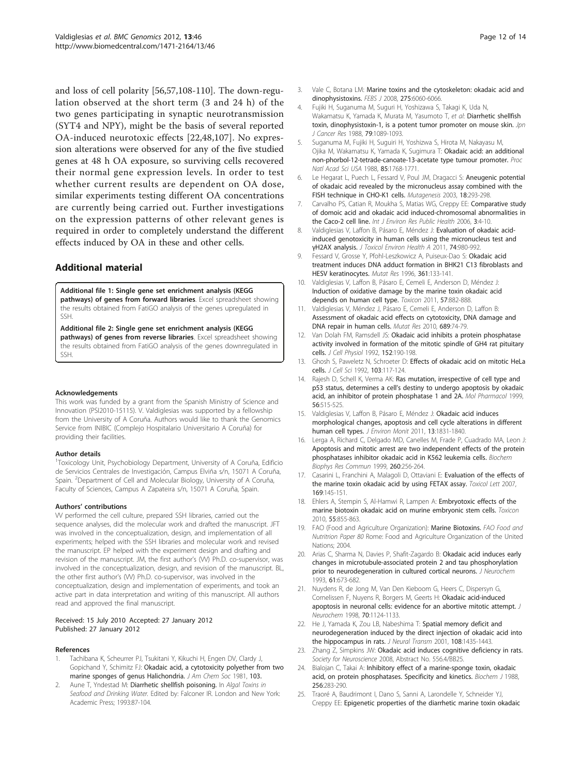<span id="page-11-0"></span>and loss of cell polarity [[56,57](#page-12-0)[,108-110](#page-13-0)]. The down-regulation observed at the short term (3 and 24 h) of the two genes participating in synaptic neurotransmission (SYT4 and NPY), might be the basis of several reported OA-induced neurotoxic effects [22,[48](#page-12-0)[,107\]](#page-13-0). No expression alterations were observed for any of the five studied genes at 48 h OA exposure, so surviving cells recovered their normal gene expression levels. In order to test whether current results are dependent on OA dose, similar experiments testing different OA concentrations are currently being carried out. Further investigations on the expression patterns of other relevant genes is required in order to completely understand the different effects induced by OA in these and other cells.

## Additional material

[Additional file 1: S](http://www.biomedcentral.com/content/supplementary/1471-2164-13-46-S1.XLS)ingle gene set enrichment analysis (KEGG pathways) of genes from forward libraries. Excel spreadsheet showing the results obtained from FatiGO analysis of the genes upregulated in SSH.

[Additional file 2: S](http://www.biomedcentral.com/content/supplementary/1471-2164-13-46-S2.XLS)ingle gene set enrichment analysis (KEGG pathways) of genes from reverse libraries. Excel spreadsheet showing the results obtained from FatiGO analysis of the genes downregulated in SSH.

#### Acknowledgements

This work was funded by a grant from the Spanish Ministry of Science and Innovation (PSI2010-15115). V. Valdiglesias was supported by a fellowship from the University of A Coruña. Authors would like to thank the Genomics Service from INIBIC (Complejo Hospitalario Universitario A Coruña) for providing their facilities.

#### Author details

<sup>1</sup>Toxicology Unit, Psychobiology Department, University of A Coruña, Edificio de Servicios Centrales de Investigación, Campus Elviña s/n, 15071 A Coruña, Spain. <sup>2</sup>Department of Cell and Molecular Biology, University of A Coruña, Faculty of Sciences, Campus A Zapateira s/n, 15071 A Coruña, Spain.

#### Authors' contributions

VV performed the cell culture, prepared SSH libraries, carried out the sequence analyses, did the molecular work and drafted the manuscript. JFT was involved in the conceptualization, design, and implementation of all experiments; helped with the SSH libraries and molecular work and revised the manuscript. EP helped with the experiment design and drafting and revision of the manuscript. JM, the first author's (VV) Ph.D. co-supervisor, was involved in the conceptualization, design, and revision of the manuscript. BL, the other first author's (VV) Ph.D. co-supervisor, was involved in the conceptualization, design and implementation of experiments, and took an active part in data interpretation and writing of this manuscript. All authors read and approved the final manuscript.

#### Received: 15 July 2010 Accepted: 27 January 2012 Published: 27 January 2012

#### References

- Tachibana K, Scheurrer PJ, Tsukitani Y, Kikuchi H, Engen DV, Clardy J, Gopichand Y, Schimitz FJ: Okadaic acid, a cytotoxicity polyether from two marine sponges of genus Halichondria. J Am Chem Soc 1981, 103.
- Aune T, Yndestad M: Diarrhetic shellfish poisoning. In Algal Toxins in Seafood and Drinking Water. Edited by: Falconer IR. London and New York: Academic Press; 1993:87-104.
- 3. Vale C, Botana LM: [Marine toxins and the cytoskeleton: okadaic acid and](http://www.ncbi.nlm.nih.gov/pubmed/19016863?dopt=Abstract) [dinophysistoxins.](http://www.ncbi.nlm.nih.gov/pubmed/19016863?dopt=Abstract) FEBS J 2008, 275:6060-6066.
- 4. Fujiki H, Suganuma M, Suguri H, Yoshizawa S, Takagi K, Uda N, Wakamatsu K, Yamada K, Murata M, Yasumoto T, et al: [Diarrhetic shellfish](http://www.ncbi.nlm.nih.gov/pubmed/3143697?dopt=Abstract) [toxin, dinophysistoxin-1, is a potent tumor promoter on mouse skin.](http://www.ncbi.nlm.nih.gov/pubmed/3143697?dopt=Abstract) Jpn J Cancer Res 1988, 79:1089-1093.
- 5. Suganuma M, Fujiki H, Suguiri H, Yoshizwa S, Hirota M, Nakayasu M, Ojika M, Wakamatsu K, Yamada K, Sugimura T: [Okadaic acid: an additional](http://www.ncbi.nlm.nih.gov/pubmed/3126494?dopt=Abstract) [non-phorbol-12-tetrade-canoate-13-acetate type tumour promoter.](http://www.ncbi.nlm.nih.gov/pubmed/3126494?dopt=Abstract) Proc Natl Acad Sci USA 1988, 85:1768-1771.
- 6. Le Hegarat L, Puech L, Fessard V, Poul JM, Dragacci S: [Aneugenic potential](http://www.ncbi.nlm.nih.gov/pubmed/12714697?dopt=Abstract) [of okadaic acid revealed by the micronucleus assay combined with the](http://www.ncbi.nlm.nih.gov/pubmed/12714697?dopt=Abstract) [FISH technique in CHO-K1 cells.](http://www.ncbi.nlm.nih.gov/pubmed/12714697?dopt=Abstract) Mutagenesis 2003, 18:293-298.
- 7. Carvalho PS, Catian R, Moukha S, Matias WG, Creppy EE: [Comparative study](http://www.ncbi.nlm.nih.gov/pubmed/16823071?dopt=Abstract) [of domoic acid and okadaic acid induced-chromosomal abnormalities in](http://www.ncbi.nlm.nih.gov/pubmed/16823071?dopt=Abstract) [the Caco-2 cell line.](http://www.ncbi.nlm.nih.gov/pubmed/16823071?dopt=Abstract) Int J Environ Res Public Health 2006, 3:4-10.
- 8. Valdiglesias V, Laffon B, Pásaro E, Méndez J: [Evaluation of okadaic acid](http://www.ncbi.nlm.nih.gov/pubmed/21707423?dopt=Abstract)[induced genotoxicity in human cells using the micronucleus test and](http://www.ncbi.nlm.nih.gov/pubmed/21707423?dopt=Abstract) γ[H2AX analysis.](http://www.ncbi.nlm.nih.gov/pubmed/21707423?dopt=Abstract) J Toxicol Environ Health A 2011, 74:980-992
- 9. Fessard V, Grosse Y, Pfohl-Leszkowicz A, Puiseux-Dao S: [Okadaic acid](http://www.ncbi.nlm.nih.gov/pubmed/8980699?dopt=Abstract) [treatment induces DNA adduct formation in BHK21 C13 fibroblasts and](http://www.ncbi.nlm.nih.gov/pubmed/8980699?dopt=Abstract) [HESV keratinocytes.](http://www.ncbi.nlm.nih.gov/pubmed/8980699?dopt=Abstract) Mutat Res 1996, 361:133-141.
- 10. Valdiglesias V, Laffon B, Pásaro E, Cemeli E, Anderson D, Méndez J: [Induction of oxidative damage by the marine toxin okadaic acid](http://www.ncbi.nlm.nih.gov/pubmed/21396392?dopt=Abstract) [depends on human cell type.](http://www.ncbi.nlm.nih.gov/pubmed/21396392?dopt=Abstract) Toxicon 2011, 57:882-888.
- 11. Valdiglesias V, Méndez J, Pásaro E, Cemeli E, Anderson D, Laffon B: [Assessment of okadaic acid effects on cytotoxicity, DNA damage and](http://www.ncbi.nlm.nih.gov/pubmed/20621797?dopt=Abstract) [DNA repair in human cells.](http://www.ncbi.nlm.nih.gov/pubmed/20621797?dopt=Abstract) Mutat Res 2010, 689:74-79.
- 12. Van Dolah FM, Ramsdell JS: [Okadaic acid inhibits a protein phosphatase](http://www.ncbi.nlm.nih.gov/pubmed/1320037?dopt=Abstract) [activity involved in formation of the mitotic spindle of GH4 rat pituitary](http://www.ncbi.nlm.nih.gov/pubmed/1320037?dopt=Abstract) [cells.](http://www.ncbi.nlm.nih.gov/pubmed/1320037?dopt=Abstract) J Cell Physiol 1992, 152:190-198.
- 13. Ghosh S, Paweletz N, Schroeter D: [Effects of okadaic acid on mitotic HeLa](http://www.ncbi.nlm.nih.gov/pubmed/1331133?dopt=Abstract) [cells.](http://www.ncbi.nlm.nih.gov/pubmed/1331133?dopt=Abstract) J Cell Sci 1992, 103:117-124.
- 14. Rajesh D, Schell K, Verma AK: [Ras mutation, irrespective of cell type and](http://www.ncbi.nlm.nih.gov/pubmed/10462539?dopt=Abstract) p53 status, determines a cell'[s destiny to undergo apoptosis by okadaic](http://www.ncbi.nlm.nih.gov/pubmed/10462539?dopt=Abstract) [acid, an inhibitor of protein phosphatase 1 and 2A.](http://www.ncbi.nlm.nih.gov/pubmed/10462539?dopt=Abstract) Mol Pharmacol 1999, 56:515-525.
- 15. Valdiglesias V, Laffon B, Pásaro E, Méndez J: [Okadaic acid induces](http://www.ncbi.nlm.nih.gov/pubmed/21526234?dopt=Abstract) [morphological changes, apoptosis and cell cycle alterations in different](http://www.ncbi.nlm.nih.gov/pubmed/21526234?dopt=Abstract) [human cell types.](http://www.ncbi.nlm.nih.gov/pubmed/21526234?dopt=Abstract) J Environ Monit 2011, 13:1831-1840.
- 16. Lerga A, Richard C, Delgado MD, Canelles M, Frade P, Cuadrado MA, Leon J: [Apoptosis and mitotic arrest are two independent effects of the protein](http://www.ncbi.nlm.nih.gov/pubmed/10381376?dopt=Abstract) [phosphatases inhibitor okadaic acid in K562 leukemia cells.](http://www.ncbi.nlm.nih.gov/pubmed/10381376?dopt=Abstract) Biochem Biophys Res Commun 1999, 260:256-264.
- 17. Casarini L, Franchini A, Malagoli D, Ottaviani E: [Evaluation of the effects of](http://www.ncbi.nlm.nih.gov/pubmed/17280804?dopt=Abstract) [the marine toxin okadaic acid by using FETAX assay.](http://www.ncbi.nlm.nih.gov/pubmed/17280804?dopt=Abstract) Toxicol Lett 2007, 169:145-151.
- 18. Ehlers A, Stempin S, Al-Hamwi R, Lampen A: [Embryotoxic effects of the](http://www.ncbi.nlm.nih.gov/pubmed/20026154?dopt=Abstract) [marine biotoxin okadaic acid on murine embryonic stem cells.](http://www.ncbi.nlm.nih.gov/pubmed/20026154?dopt=Abstract) Toxicon 2010, 55:855-863
- 19. FAO (Food and Agriculture Organization): Marine Biotoxins. FAO Food and Nutritrion Paper 80 Rome: Food and Agriculture Organization of the United Nations; 2004.
- 20. Arias C, Sharma N, Davies P, Shafit-Zagardo B: [Okadaic acid induces early](http://www.ncbi.nlm.nih.gov/pubmed/8336148?dopt=Abstract) [changes in microtubule-associated protein 2 and tau phosphorylation](http://www.ncbi.nlm.nih.gov/pubmed/8336148?dopt=Abstract) [prior to neurodegeneration in cultured cortical neurons.](http://www.ncbi.nlm.nih.gov/pubmed/8336148?dopt=Abstract) J Neurochem 1993, 61:673-682.
- 21. Nuydens R, de Jong M, Van Den Kieboom G, Heers C, Dispersyn G, Cornelissen F, Nuyens R, Borgers M, Geerts H: [Okadaic acid-induced](http://www.ncbi.nlm.nih.gov/pubmed/9489733?dopt=Abstract) [apoptosis in neuronal cells: evidence for an abortive mitotic attempt.](http://www.ncbi.nlm.nih.gov/pubmed/9489733?dopt=Abstract) J Neurochem 1998, 70:1124-1133.
- 22. He J, Yamada K, Zou LB, Nabeshima T: [Spatial memory deficit and](http://www.ncbi.nlm.nih.gov/pubmed/11810406?dopt=Abstract) [neurodegeneration induced by the direct injection of okadaic acid into](http://www.ncbi.nlm.nih.gov/pubmed/11810406?dopt=Abstract) [the hippocampus in rats.](http://www.ncbi.nlm.nih.gov/pubmed/11810406?dopt=Abstract) J Neural Transm 2001, 108:1435-1443.
- 23. Zhang Z, Simpkins JW: Okadaic acid induces cognitive deficiency in rats. Society for Neuroscience 2008, Abstract No. 556.4/BB25.
- 24. Bialojan C, Takai A: [Inhibitory effect of a marine-sponge toxin, okadaic](http://www.ncbi.nlm.nih.gov/pubmed/2851982?dopt=Abstract) [acid, on protein phosphatases. Specificity and kinetics.](http://www.ncbi.nlm.nih.gov/pubmed/2851982?dopt=Abstract) Biochem J 1988, 256:283-290.
- 25. Traoré A, Baudrimont I, Dano S, Sanni A, Larondelle Y, Schneider YJ, Creppy EE: [Epigenetic properties of the diarrhetic marine toxin okadaic](http://www.ncbi.nlm.nih.gov/pubmed/14504690?dopt=Abstract)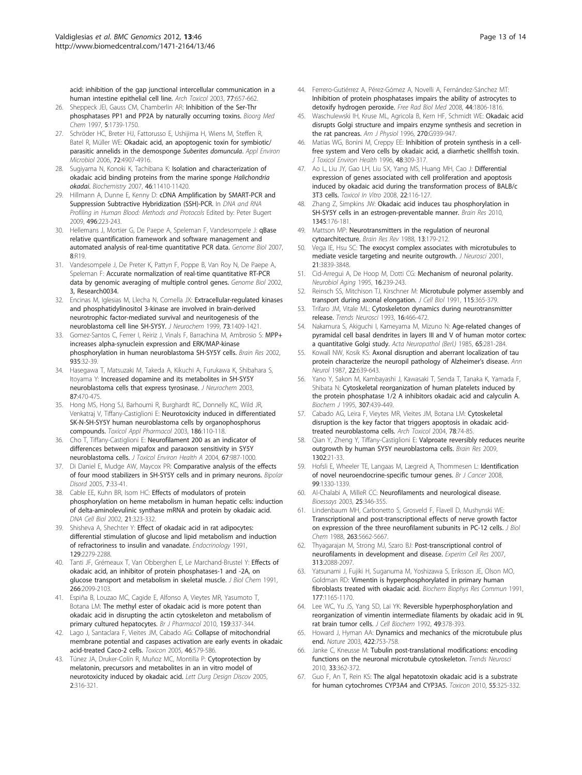<span id="page-12-0"></span>[acid: inhibition of the gap junctional intercellular communication in a](http://www.ncbi.nlm.nih.gov/pubmed/14504690?dopt=Abstract) [human intestine epithelial cell line.](http://www.ncbi.nlm.nih.gov/pubmed/14504690?dopt=Abstract) Arch Toxicol 2003, 77:657-662.

- 26. Sheppeck JEI, Gauss CM, Chamberlin AR: [Inhibition of the Ser-Thr](http://www.ncbi.nlm.nih.gov/pubmed/9354230?dopt=Abstract) [phosphatases PP1 and PP2A by naturally occurring toxins.](http://www.ncbi.nlm.nih.gov/pubmed/9354230?dopt=Abstract) Bioorg Med Chem 1997, 5:1739-1750.
- 27. Schröder HC, Breter HJ, Fattorusso E, Ushijima H, Wiens M, Steffen R, Batel R, Müller WE: [Okadaic acid, an apoptogenic toxin for symbiotic/](http://www.ncbi.nlm.nih.gov/pubmed/16820487?dopt=Abstract) [parasitic annelids in the demosponge](http://www.ncbi.nlm.nih.gov/pubmed/16820487?dopt=Abstract) Suberites domuncula. Appl Environ Microbiol 2006, 72:4907-4916.
- 28. Sugiyama N, Konoki K, Tachibana K: [Isolation and characterization of](http://www.ncbi.nlm.nih.gov/pubmed/17867706?dopt=Abstract) [okadaic acid binding proteins from the marine sponge](http://www.ncbi.nlm.nih.gov/pubmed/17867706?dopt=Abstract) Halichondria [okadai](http://www.ncbi.nlm.nih.gov/pubmed/17867706?dopt=Abstract). Biochemistry 2007, 46:11410-11420.
- 29. Hillmann A, Dunne E, Kenny D: cDNA Amplification by SMART-PCR and Suppression Subtractive Hybridization (SSH)-PCR. In DNA and RNA Profiling in Human Blood: Methods and Protocols Edited by: Peter Bugert 2009, 496:223-243.
- 30. Hellemans J, Mortier G, De Paepe A, Speleman F, Vandesompele J: [qBase](http://www.ncbi.nlm.nih.gov/pubmed/17291332?dopt=Abstract) [relative quantification framework and software management and](http://www.ncbi.nlm.nih.gov/pubmed/17291332?dopt=Abstract) [automated analysis of real-time quantitative PCR data.](http://www.ncbi.nlm.nih.gov/pubmed/17291332?dopt=Abstract) Genome Biol 2007, 8:R19.
- 31. Vandesompele J, De Preter K, Pattyn F, Poppe B, Van Roy N, De Paepe A, Speleman F: Accurate normalization of real-time quantitative RT-PCR data by genomic averaging of multiple control genes. Genome Biol 2002, 3, Research0034.
- 32. Encinas M, Iglesias M, Llecha N, Comella JX: [Extracellular-regulated kinases](http://www.ncbi.nlm.nih.gov/pubmed/10501184?dopt=Abstract) [and phosphatidylinositol 3-kinase are involved in brain-derived](http://www.ncbi.nlm.nih.gov/pubmed/10501184?dopt=Abstract) [neurotrophic factor-mediated survival and neuritogenesis of the](http://www.ncbi.nlm.nih.gov/pubmed/10501184?dopt=Abstract) [neuroblastoma cell line SH-SY5Y.](http://www.ncbi.nlm.nih.gov/pubmed/10501184?dopt=Abstract) J Neurochem 1999, 73:1409-1421.
- 33. Gomez-Santos C, Ferrer I, Reiriz J, Vinals F, Barrachina M, Ambrosio S: [MPP+](http://www.ncbi.nlm.nih.gov/pubmed/12062470?dopt=Abstract) [increases alpha-synuclein expression and ERK/MAP-kinase](http://www.ncbi.nlm.nih.gov/pubmed/12062470?dopt=Abstract) [phosphorylation in human neuroblastoma SH-SY5Y cells.](http://www.ncbi.nlm.nih.gov/pubmed/12062470?dopt=Abstract) Brain Res 2002, 935:32-39.
- 34. Hasegawa T, Matsuzaki M, Takeda A, Kikuchi A, Furukawa K, Shibahara S, Itoyama Y: [Increased dopamine and its metabolites in SH-SY5Y](http://www.ncbi.nlm.nih.gov/pubmed/14511124?dopt=Abstract) [neuroblastoma cells that express tyrosinase.](http://www.ncbi.nlm.nih.gov/pubmed/14511124?dopt=Abstract) J Neurochem 2003, 87:470-475.
- 35. Hong MS, Hong SJ, Barhoumi R, Burghardt RC, Donnelly KC, Wild JR, Venkatraj V, Tiffany-Castiglioni E: [Neurotoxicity induced in differentiated](http://www.ncbi.nlm.nih.gov/pubmed/12639502?dopt=Abstract) [SK-N-SH-SY5Y human neuroblastoma cells by organophosphorus](http://www.ncbi.nlm.nih.gov/pubmed/12639502?dopt=Abstract) [compounds.](http://www.ncbi.nlm.nih.gov/pubmed/12639502?dopt=Abstract) Toxicol Appl Pharmacol 2003, 186:110-118.
- 36. Cho T, Tiffany-Castiglioni E: [Neurofilament 200 as an indicator of](http://www.ncbi.nlm.nih.gov/pubmed/15205030?dopt=Abstract) [differences between mipafox and paraoxon sensitivity in SY5Y](http://www.ncbi.nlm.nih.gov/pubmed/15205030?dopt=Abstract) [neuroblastoma cells.](http://www.ncbi.nlm.nih.gov/pubmed/15205030?dopt=Abstract) J Toxicol Environ Health A 2004, 67:987-1000.
- 37. Di Daniel E, Mudge AW, Maycox PR: [Comparative analysis of the effects](http://www.ncbi.nlm.nih.gov/pubmed/15654930?dopt=Abstract) [of four mood stabilizers in SH-SY5Y cells and in primary neurons.](http://www.ncbi.nlm.nih.gov/pubmed/15654930?dopt=Abstract) Bipolar Disord 2005, 7:33-41.
- 38. Cable EE, Kuhn BR, Isom HC: [Effects of modulators of protein](http://www.ncbi.nlm.nih.gov/pubmed/12042071?dopt=Abstract) [phosphorylation on heme metabolism in human hepatic cells: induction](http://www.ncbi.nlm.nih.gov/pubmed/12042071?dopt=Abstract) [of delta-aminolevulinic synthase mRNA and protein by okadaic acid.](http://www.ncbi.nlm.nih.gov/pubmed/12042071?dopt=Abstract) DNA Cell Biol 2002, 21:323-332.
- 39. Shisheva A, Shechter Y: [Effect of okadaic acid in rat adipocytes:](http://www.ncbi.nlm.nih.gov/pubmed/1657568?dopt=Abstract) [differential stimulation of glucose and lipid metabolism and induction](http://www.ncbi.nlm.nih.gov/pubmed/1657568?dopt=Abstract) [of refractoriness to insulin and vanadate.](http://www.ncbi.nlm.nih.gov/pubmed/1657568?dopt=Abstract) Endocrinology 1991, 129-2279-2288
- 40. Tanti JF, Grémeaux T, Van Obberghen E, Le Marchand-Brustel Y: [Effects of](http://www.ncbi.nlm.nih.gov/pubmed/1846612?dopt=Abstract) [okadaic acid, an inhibitor of protein phosphatases-1 and -2A, on](http://www.ncbi.nlm.nih.gov/pubmed/1846612?dopt=Abstract) [glucose transport and metabolism in skeletal muscle.](http://www.ncbi.nlm.nih.gov/pubmed/1846612?dopt=Abstract) J Biol Chem 1991, 266:2099-2103.
- 41. Espiña B, Louzao MC, Cagide E, Alfonso A, Vieytes MR, Yasumoto T, Botana LM: [The methyl ester of okadaic acid is more potent than](http://www.ncbi.nlm.nih.gov/pubmed/20015092?dopt=Abstract) [okadaic acid in disrupting the actin cytoskeleton and metabolism of](http://www.ncbi.nlm.nih.gov/pubmed/20015092?dopt=Abstract) [primary cultured hepatocytes.](http://www.ncbi.nlm.nih.gov/pubmed/20015092?dopt=Abstract) Br J Pharmacol 2010, 159:337-344.
- 42. Lago J, Santaclara F, Vieites JM, Cabado AG: [Collapse of mitochondrial](http://www.ncbi.nlm.nih.gov/pubmed/16135376?dopt=Abstract) [membrane potential and caspases activation are early events in okadaic](http://www.ncbi.nlm.nih.gov/pubmed/16135376?dopt=Abstract) [acid-treated Caco-2 cells.](http://www.ncbi.nlm.nih.gov/pubmed/16135376?dopt=Abstract) Toxicon 2005, 46:579-586.
- 43. Túnez JA, Druker-Colín R, Muñoz MC, Montilla P: Cytoprotection by melatonin, precursors and metabolites in an in vitro model of neurotoxicity induced by okadaic acid. Lett Durg Design Discov 2005, 2:316-321.
- 44. Ferrero-Gutiérrez A, Pérez-Gómez A, Novelli A, Fernández-Sánchez MT: [Inhibition of protein phosphatases impairs the ability of astrocytes to](http://www.ncbi.nlm.nih.gov/pubmed/18313406?dopt=Abstract) [detoxify hydrogen peroxide.](http://www.ncbi.nlm.nih.gov/pubmed/18313406?dopt=Abstract) Free Rad Biol Med 2008, 44:1806-1816.
- 45. Waschulewski IH, Kruse ML, Agricola B, Kern HF, Schmidt WE: [Okadaic acid](http://www.ncbi.nlm.nih.gov/pubmed/8764200?dopt=Abstract) [disrupts Golgi structure and impairs enzyme synthesis and secretion in](http://www.ncbi.nlm.nih.gov/pubmed/8764200?dopt=Abstract) [the rat pancreas.](http://www.ncbi.nlm.nih.gov/pubmed/8764200?dopt=Abstract) Am J Physiol 1996, 270:G939-947.
- 46. Matias WG, Bonini M, Creppy EE: [Inhibition of protein synthesis in a cell](http://www.ncbi.nlm.nih.gov/pubmed/8656452?dopt=Abstract)[free system and Vero cells by okadaic acid, a diarrhetic shellfish toxin.](http://www.ncbi.nlm.nih.gov/pubmed/8656452?dopt=Abstract) J Toxicol Environ Health 1996, 48:309-317.
- 47. Ao L, Liu JY, Gao LH, Liu SX, Yang MS, Huang MH, Cao J: [Differential](http://www.ncbi.nlm.nih.gov/pubmed/17935941?dopt=Abstract) [expression of genes associated with cell proliferation and apoptosis](http://www.ncbi.nlm.nih.gov/pubmed/17935941?dopt=Abstract) [induced by okadaic acid during the transformation process of BALB/c](http://www.ncbi.nlm.nih.gov/pubmed/17935941?dopt=Abstract) [3T3 cells.](http://www.ncbi.nlm.nih.gov/pubmed/17935941?dopt=Abstract) Toxicol In Vitro 2008, 22:116-127.
- 48. Zhang Z, Simpkins JW: [Okadaic acid induces tau phosphorylation in](http://www.ncbi.nlm.nih.gov/pubmed/20457142?dopt=Abstract) [SH-SY5Y cells in an estrogen-preventable manner.](http://www.ncbi.nlm.nih.gov/pubmed/20457142?dopt=Abstract) Brain Res 2010, 1345:176-181.
- 49. Mattson MP: Neurotransmitters in the regulation of neuronal cytoarchitecture. Brain Res Rev 1988, 13:179-212.
- 50. Vega IE, Hsu SC: [The exocyst complex associates with microtubules to](http://www.ncbi.nlm.nih.gov/pubmed/11356872?dopt=Abstract) [mediate vesicle targeting and neurite outgrowth.](http://www.ncbi.nlm.nih.gov/pubmed/11356872?dopt=Abstract) J Neurosci 2001, 21:3839-3848.
- 51. Cid-Arregui A, De Hoop M, Dotti CG: [Mechanism of neuronal polarity.](http://www.ncbi.nlm.nih.gov/pubmed/7566334?dopt=Abstract) Neurobiol Aging 1995, 16:239-243.
- 52. Reinsch SS, Mitchison TJ, Kirschner M: [Microtubule polymer assembly and](http://www.ncbi.nlm.nih.gov/pubmed/1717484?dopt=Abstract) [transport during axonal elongation.](http://www.ncbi.nlm.nih.gov/pubmed/1717484?dopt=Abstract) J Cell Biol 1991, 115:365-379.
- 53. Trifaro JM, Vitale ML: [Cytoskeleton dynamics during neurotransmitter](http://www.ncbi.nlm.nih.gov/pubmed/7507620?dopt=Abstract) [release.](http://www.ncbi.nlm.nih.gov/pubmed/7507620?dopt=Abstract) Trends Neurosci 1993, 16:466-472.
- 54. Nakamura S, Akiguchi I, Kameyama M, Mizuno N: Age-related changes of pyramidal cell basal dendrites in layers III and V of human motor cortex: a quantitative Golgi study. Acta Neuropathol (Berl.) 1985, 65:281-284.
- 55. Kowall NW, Kosik KS: [Axonal disruption and aberrant localization of tau](http://www.ncbi.nlm.nih.gov/pubmed/3122646?dopt=Abstract) [protein characterize the neuropil pathology of Alzheimer](http://www.ncbi.nlm.nih.gov/pubmed/3122646?dopt=Abstract)'s disease. Ann Neurol 1987, 22:639-643.
- 56. Yano Y, Sakon M, Kambayashi J, Kawasaki T, Senda T, Tanaka K, Yamada F, Shibata N: [Cytoskeletal reorganization of human platelets induced by](http://www.ncbi.nlm.nih.gov/pubmed/7733881?dopt=Abstract) [the protein phosphatase 1/2 A inhibitors okadaic acid and calyculin A.](http://www.ncbi.nlm.nih.gov/pubmed/7733881?dopt=Abstract) Biochem J 1995, 307:439-449.
- 57. Cabado AG, Leira F, Vieytes MR, Vieites JM, Botana LM: [Cytoskeletal](http://www.ncbi.nlm.nih.gov/pubmed/14652712?dopt=Abstract) [disruption is the key factor that triggers apoptosis in okadaic acid](http://www.ncbi.nlm.nih.gov/pubmed/14652712?dopt=Abstract)[treated neuroblastoma cells.](http://www.ncbi.nlm.nih.gov/pubmed/14652712?dopt=Abstract) Arch Toxicol 2004, 78:74-85.
- 58. Qian Y, Zheng Y, Tiffany-Castiglioni E: [Valproate reversibly reduces neurite](http://www.ncbi.nlm.nih.gov/pubmed/19766605?dopt=Abstract) [outgrowth by human SY5Y neuroblastoma cells.](http://www.ncbi.nlm.nih.gov/pubmed/19766605?dopt=Abstract) Brain Res 2009, 1302:21-33.
- 59. Hofsli E, Wheeler TE, Langaas M, Lægreid A, Thommesen L: [Identification](http://www.ncbi.nlm.nih.gov/pubmed/18827820?dopt=Abstract) [of novel neuroendocrine-specific tumour genes.](http://www.ncbi.nlm.nih.gov/pubmed/18827820?dopt=Abstract) Br J Cancer 2008, 99:1330-1339.
- 60. Al-Chalabi A, MilleR CC: [Neurofilaments and neurological disease.](http://www.ncbi.nlm.nih.gov/pubmed/12655642?dopt=Abstract) Bioessays 2003, 25:346-355.
- 61. Lindenbaum MH, Carbonetto S, Grosveld F, Flavell D, Mushynski WE: [Transcriptional and post-transcriptional effects of nerve growth factor](http://www.ncbi.nlm.nih.gov/pubmed/3128545?dopt=Abstract) [on expression of the three neurofilament subunits in PC-12 cells.](http://www.ncbi.nlm.nih.gov/pubmed/3128545?dopt=Abstract) J Biol Chem 1988, 263:5662-5667.
- 62. Thyagarajan M, Strong MJ, Szaro BJ: Post-transcriptional control of neurofilaments in development and disease. Experim Cell Res 2007, 313:2088-2097.
- 63. Yatsunami J, Fujiki H, Suganuma M, Yoshizawa S, Eriksson JE, Olson MO, Goldman RD: [Vimentin is hyperphosphorylated in primary human](http://www.ncbi.nlm.nih.gov/pubmed/1647766?dopt=Abstract) [fibroblasts treated with okadaic acid.](http://www.ncbi.nlm.nih.gov/pubmed/1647766?dopt=Abstract) Biochem Biophys Res Commun 1991, 177:1165-1170.
- 64. Lee WC, Yu JS, Yang SD, Lai YK: [Reversible hyperphosphorylation and](http://www.ncbi.nlm.nih.gov/pubmed/1331124?dopt=Abstract) [reorganization of vimentin intermediate filaments by okadaic acid in 9L](http://www.ncbi.nlm.nih.gov/pubmed/1331124?dopt=Abstract) [rat brain tumor cells.](http://www.ncbi.nlm.nih.gov/pubmed/1331124?dopt=Abstract) J Cell Biochem 1992, 49:378-393.
- 65. Howard J, Hyman AA: [Dynamics and mechanics of the microtubule plus](http://www.ncbi.nlm.nih.gov/pubmed/12700769?dopt=Abstract) [end.](http://www.ncbi.nlm.nih.gov/pubmed/12700769?dopt=Abstract) Nature 2003, 422:753-758.
- 66. Janke C, Kneusse M: [Tubulin post-translational modifications: encoding](http://www.ncbi.nlm.nih.gov/pubmed/20541813?dopt=Abstract) [functions on the neuronal microtubule cytoskeleton.](http://www.ncbi.nlm.nih.gov/pubmed/20541813?dopt=Abstract) Trends Neurosci 2010, 33:362-372.
- 67. Guo F, An T, Rein KS: [The algal hepatotoxin okadaic acid is a substrate](http://www.ncbi.nlm.nih.gov/pubmed/19699225?dopt=Abstract) [for human cytochromes CYP3A4 and CYP3A5.](http://www.ncbi.nlm.nih.gov/pubmed/19699225?dopt=Abstract) Toxicon 2010, 55:325-332.